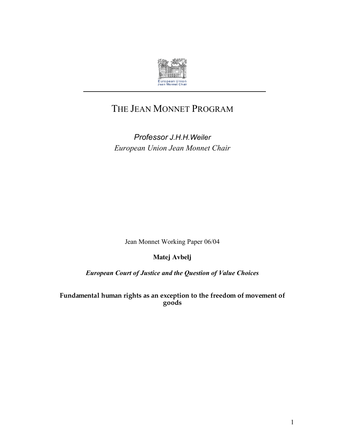

# THE JEAN MONNET PROGRAM

*Professor J.H.H.Weiler European Union Jean Monnet Chair*

Jean Monnet Working Paper 06/04

**Matej Avbelj**

*European Court of Justice and the Question of Value Choices*

**Fundamental human rights as an exception to the freedom of movement of goods**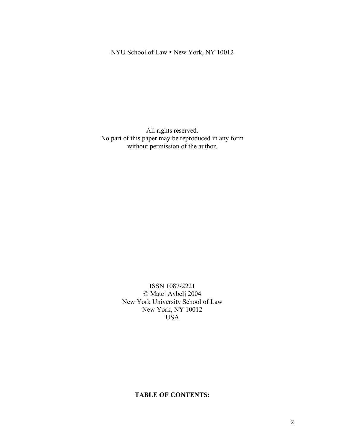### NYU School of Law • New York, NY 10012

All rights reserved. No part of this paper may be reproduced in any form without permission of the author.

> ISSN 1087-2221 © Matej Avbelj 2004 New York University School of Law New York, NY 10012 USA

### **TABLE OF CONTENTS:**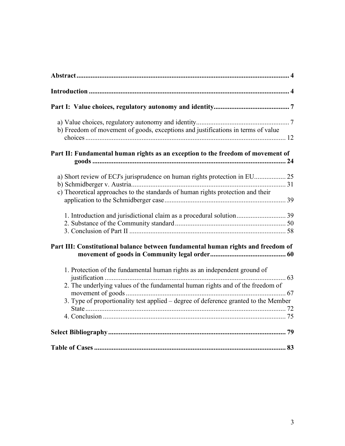| b) Freedom of movement of goods, exceptions and justifications in terms of value    |  |
|-------------------------------------------------------------------------------------|--|
| Part II: Fundamental human rights as an exception to the freedom of movement of     |  |
|                                                                                     |  |
|                                                                                     |  |
| c) Theoretical approaches to the standards of human rights protection and their     |  |
| 1. Introduction and jurisdictional claim as a procedural solution 39                |  |
|                                                                                     |  |
|                                                                                     |  |
| Part III: Constitutional balance between fundamental human rights and freedom of    |  |
| 1. Protection of the fundamental human rights as an independent ground of           |  |
| 2. The underlying values of the fundamental human rights and of the freedom of      |  |
| 3. Type of proportionality test applied – degree of deference granted to the Member |  |
|                                                                                     |  |
|                                                                                     |  |
|                                                                                     |  |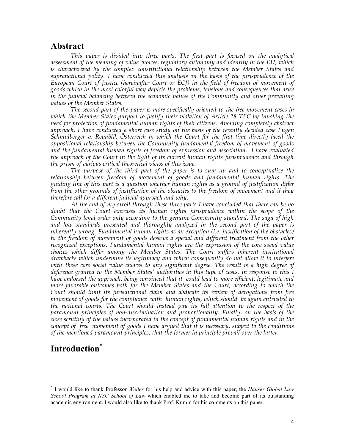## **Abstract**

*This paper is divided into three parts. The first part is focused on the analytical assessment of the meaning of value choices, regulatory autonomy and identity in the EU, which is characterized by the complex constitutional relationship between the Member States and supranational polity. I have conducted this analysis on the basis of the jurisprudence of the European Court of Justice (hereinafter Court or ECJ) in the field of freedom of movement of goods which in the most colorful way depicts the problems, tensions and consequences that arise in the judicial balancing between the economic values of the Community and other prevailing values of the Member States.*

*The second part of the paper is more specifically oriented to the free movement cases in which the Member States purport to justify their violation of Article 28 TEC by invoking the need for protection of fundamental human rights of their citizens. Avoiding completely abstract approach, I have conducted a short case study on the basis of the recently decided case Eugen Schmidberger v. Republik Österreich in which the Court for the first time directly faced the oppositional relationship between the Community fundamental freedom of movement of goods and the fundamental human rights of freedom of expression and association. I have evaluated the approach of the Court in the light of its current human rights jurisprudence and through the prism of various critical theoretical views of this issue.*

*The purpose of the third part of the paper is to sum up and to conceptualize the relationship between freedom of movement of goods and fundamental human rights. The guiding line of this part is a question whether human rights as a ground of justification differ from the other grounds of justification of the obstacles to the freedom of movement and if they therefore call for a different judicial approach and why.*

*At the end of my stroll through these three parts I have concluded that there can be no doubt that the Court exercises its human rights jurisprudence within the scope of the Community legal order only according to the genuine Community standard. The saga of high and low standards presented and thoroughly analyzed in the second part of the paper is inherently wrong. Fundamental human rights as an exception (i.e. justification of the obstacles) to the freedom of movement of goods deserve a special and different treatment from the other recognized exceptions. Fundamental human rights are the expression of the core social value choices which differ among the Member States. The Court suffers inherent institutional drawbacks which undermine its legitimacy and which consequently do not allow it to interfere with these core social value choices to any significant degree. The result is a high degree of deference granted to the Member States' authorities in this type of cases. In response to this I have endorsed the approach, being convinced that it could lead to more efficient, legitimate and more favorable outcomes both for the Member States and the Court, according to which the Court should limit its jurisdictional claim and abdicate its review of derogations from free movement of goods for the compliance with human rights, which should be again entrusted to the national courts. The Court should instead pay its full attention to the respect of the paramount principles of non-discrimination and proportionality. Finally, on the basis of the close scrutiny of the values incorporated in the concept of fundamental human rights and in the concept of free movement of goods I have argued that it is necessary, subject to the conditions of the mentioned paramount principles, that the former in principle prevail over the latter.*

# **Introduction\***

 <sup>\*</sup> <sup>I</sup> would like to thank Professor *Weiler* for his help and advice with this paper, the *Hauser Global Law School Program at NYU School of Law* which enabled me to take and become part of its outstanding academic environment. I would also like to thank Prof. Kumm for his comments on this paper.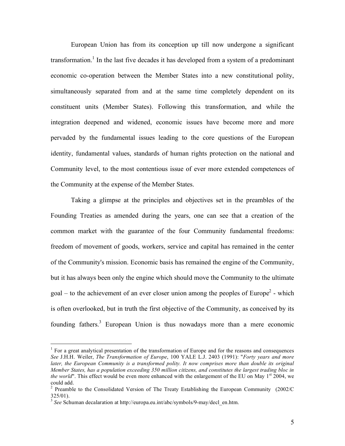European Union has from its conception up till now undergone a significant transformation.<sup>1</sup> In the last five decades it has developed from a system of a predominant economic co-operation between the Member States into a new constitutional polity, simultaneously separated from and at the same time completely dependent on its constituent units (Member States). Following this transformation, and while the integration deepened and widened, economic issues have become more and more pervaded by the fundamental issues leading to the core questions of the European identity, fundamental values, standards of human rights protection on the national and Community level, to the most contentious issue of ever more extended competences of the Community at the expense of the Member States.

Taking a glimpse at the principles and objectives set in the preambles of the Founding Treaties as amended during the years, one can see that a creation of the common market with the guarantee of the four Community fundamental freedoms: freedom of movement of goods, workers, service and capital has remained in the center of the Community's mission. Economic basis has remained the engine of the Community, but it has always been only the engine which should move the Community to the ultimate goal – to the achievement of an ever closer union among the peoples of Europe<sup>2</sup> - which is often overlooked, but in truth the first objective of the Community, as conceived by its founding fathers.<sup>3</sup> European Union is thus nowadays more than a mere economic

 $<sup>1</sup>$  For a great analytical presentation of the transformation of Europe and for the reasons and consequences</sup> *See* J.H.H. Weiler, *The Transformation of Europe*, 100 YALE L.J. 2403 (1991): "*Forty years and more later, the European Community is a transformed polity. It now comprises more than double its original Member States, has a population exceeding 350 million citizens, and constitutes the largest trading bloc in* the world". This effect would be even more enhanced with the enlargement of the EU on May 1<sup>st</sup> 2004, we could add. <sup>2</sup> Preamble to the Consolidated Version of The Treaty Establishing the European Community (2002/C

<sup>325/01).</sup> <sup>3</sup> *See* Schuman decalaration at http://europa.eu.int/abc/symbols/9-may/decl\_en.htm.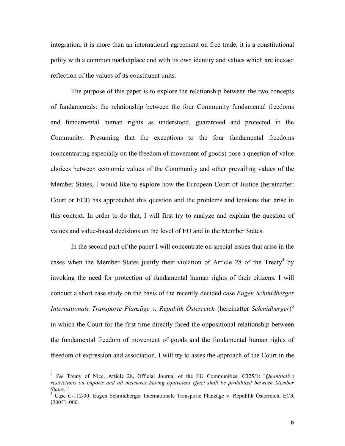integration, it is more than an international agreement on free trade, it is a constitutional polity with a common marketplace and with its own identity and values which are inexact reflection of the values of its constituent units.

The purpose of this paper is to explore the relationship between the two concepts of fundamentals: the relationship between the four Community fundamental freedoms and fundamental human rights as understood, guaranteed and protected in the Community. Presuming that the exceptions to the four fundamental freedoms (concentrating especially on the freedom of movement of goods) pose a question of value choices between economic values of the Community and other prevailing values of the Member States, I would like to explore how the European Court of Justice (hereinafter: Court or ECJ) has approached this question and the problems and tensions that arise in this context. In order to do that, I will first try to analyze and explain the question of values and value-based decisions on the level of EU and in the Member States.

In the second part of the paper I will concentrate on special issues that arise in the cases when the Member States justify their violation of Article 28 of the Treaty<sup>4</sup> by invoking the need for protection of fundamental human rights of their citizens. I will conduct a short case study on the basis of the recently decided case *Eugen Schmidberger Internationale Transporte Planzüge v. Republik Österreich* (hereinafter *Schmidberger*) 5 in which the Court for the first time directly faced the oppositional relationship between the fundamental freedom of movement of goods and the fundamental human rights of freedom of expression and association. I will try to asses the approach of the Court in the

 <sup>4</sup> *See* Treaty of Nice, Article 28, Official Journal of the EU Communities, C325/1: "*Quantitative restrictions on imports and all measures having equivalent effect shall be prohibited between Member States*." <sup>5</sup> Case C-112/00, Eugen Schmidberger Internationale Transporte Planzüge v. Republik Österreich, ECR

<sup>[2003]</sup> -000.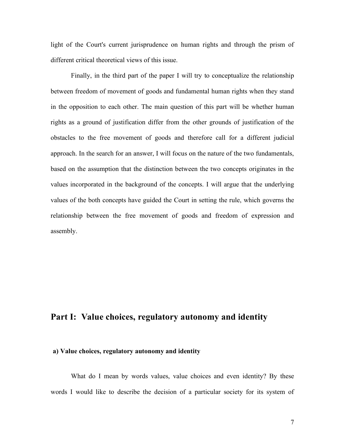light of the Court's current jurisprudence on human rights and through the prism of different critical theoretical views of this issue.

Finally, in the third part of the paper I will try to conceptualize the relationship between freedom of movement of goods and fundamental human rights when they stand in the opposition to each other. The main question of this part will be whether human rights as a ground of justification differ from the other grounds of justification of the obstacles to the free movement of goods and therefore call for a different judicial approach. In the search for an answer, I will focus on the nature of the two fundamentals, based on the assumption that the distinction between the two concepts originates in the values incorporated in the background of the concepts. I will argue that the underlying values of the both concepts have guided the Court in setting the rule, which governs the relationship between the free movement of goods and freedom of expression and assembly.

# **Part I: Value choices, regulatory autonomy and identity**

#### **a) Value choices, regulatory autonomy and identity**

What do I mean by words values, value choices and even identity? By these words I would like to describe the decision of a particular society for its system of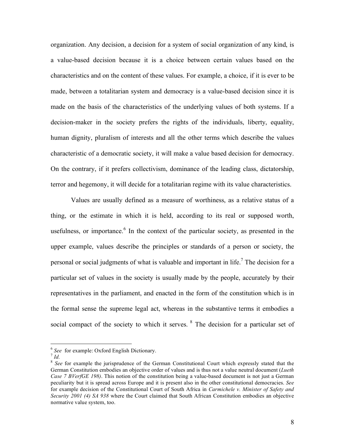organization. Any decision, a decision for a system of social organization of any kind, is a value-based decision because it is a choice between certain values based on the characteristics and on the content of these values. For example, a choice, if it is ever to be made, between a totalitarian system and democracy is a value-based decision since it is made on the basis of the characteristics of the underlying values of both systems. If a decision-maker in the society prefers the rights of the individuals, liberty, equality, human dignity, pluralism of interests and all the other terms which describe the values characteristic of a democratic society, it will make a value based decision for democracy. On the contrary, if it prefers collectivism, dominance of the leading class, dictatorship, terror and hegemony, it will decide for a totalitarian regime with its value characteristics.

Values are usually defined as a measure of worthiness, as a relative status of a thing, or the estimate in which it is held, according to its real or supposed worth, usefulness, or importance.<sup>6</sup> In the context of the particular society, as presented in the upper example, values describe the principles or standards of a person or society, the personal or social judgments of what is valuable and important in life.<sup>7</sup> The decision for a particular set of values in the society is usually made by the people, accurately by their representatives in the parliament, and enacted in the form of the constitution which is in the formal sense the supreme legal act, whereas in the substantive terms it embodies a social compact of the society to which it serves. <sup>8</sup> The decision for a particular set of

<sup>&</sup>lt;sup>6</sup> See for example: Oxford English Dictionary.<br><sup>7</sup> *Id.* 8 See for example the jurisprudence of the German Constitutional Court which expressly stated that the German Constitution embodies an objective order of values and is thus not a value neutral document (*Lueth Case 7 BVerfGE 198)*. This notion of the constitution being a value-based document is not just a German peculiarity but it is spread across Europe and it is present also in the other constitutional democracies. *See* for example decision of the Constitutional Court of South Africa in *Carmichele v. Minister of Safety and Security 2001 (4) SA 938* where the Court claimed that South African Constitution embodies an objective normative value system, too.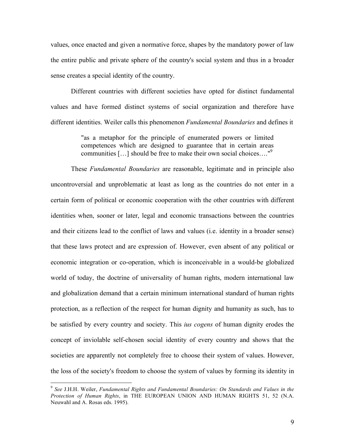values, once enacted and given a normative force, shapes by the mandatory power of law the entire public and private sphere of the country's social system and thus in a broader sense creates a special identity of the country.

Different countries with different societies have opted for distinct fundamental values and have formed distinct systems of social organization and therefore have different identities. Weiler calls this phenomenon *Fundamental Boundaries* and defines it

> "as a metaphor for the principle of enumerated powers or limited competences which are designed to guarantee that in certain areas communities […] should be free to make their own social choices…." 9

These *Fundamental Boundaries* are reasonable, legitimate and in principle also uncontroversial and unproblematic at least as long as the countries do not enter in a certain form of political or economic cooperation with the other countries with different identities when, sooner or later, legal and economic transactions between the countries and their citizens lead to the conflict of laws and values (i.e. identity in a broader sense) that these laws protect and are expression of. However, even absent of any political or economic integration or co-operation, which is inconceivable in a would-be globalized world of today, the doctrine of universality of human rights, modern international law and globalization demand that a certain minimum international standard of human rights protection, as a reflection of the respect for human dignity and humanity as such, has to be satisfied by every country and society. This *ius cogens* of human dignity erodes the concept of inviolable self-chosen social identity of every country and shows that the societies are apparently not completely free to choose their system of values. However, the loss of the society's freedom to choose the system of values by forming its identity in

 <sup>9</sup> *See* J.H.H. Weiler, *Fundamental Rights and Fundamental Boundaries: On Standards and Values in the Protection of Human Rights*, in THE EUROPEAN UNION AND HUMAN RIGHTS 51, 52 (N.A. Neuwahl and A. Rosas eds. 1995).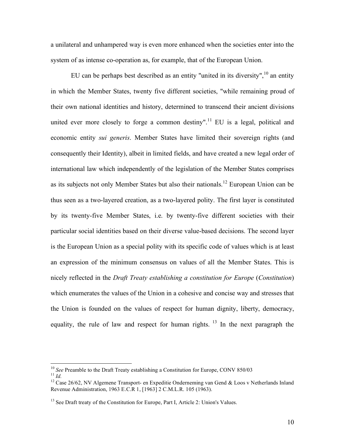a unilateral and unhampered way is even more enhanced when the societies enter into the system of as intense co-operation as, for example, that of the European Union.

EU can be perhaps best described as an entity "united in its diversity",  $^{10}$  an entity in which the Member States, twenty five different societies, "while remaining proud of their own national identities and history, determined to transcend their ancient divisions united ever more closely to forge a common destiny".<sup>11</sup> EU is a legal, political and economic entity *sui generis*. Member States have limited their sovereign rights (and consequently their Identity), albeit in limited fields, and have created a new legal order of international law which independently of the legislation of the Member States comprises as its subjects not only Member States but also their nationals.<sup>12</sup> European Union can be thus seen as a two-layered creation, as a two-layered polity. The first layer is constituted by its twenty-five Member States, i.e. by twenty-five different societies with their particular social identities based on their diverse value-based decisions. The second layer is the European Union as a special polity with its specific code of values which is at least an expression of the minimum consensus on values of all the Member States. This is nicely reflected in the *Draft Treaty establishing a constitution for Europe* (*Constitution*) which enumerates the values of the Union in a cohesive and concise way and stresses that the Union is founded on the values of respect for human dignity, liberty, democracy, equality, the rule of law and respect for human rights.  $13$  In the next paragraph the

<sup>&</sup>lt;sup>10</sup> *See* Preamble to the Draft Treaty establishing a Constitution for Europe, CONV 850/03<br><sup>11</sup> *Id.* <sup>12</sup> Case 26/62, NV Algemene Transport- en Expeditie Onderneming van Gend & Loos v Netherlands Inland

Revenue Administration, 1963 E.C.R 1, [1963] 2 C.M.L.R. 105 (1963).

 $<sup>13</sup>$  See Draft treaty of the Constitution for Europe, Part I, Article 2: Union's Values.</sup>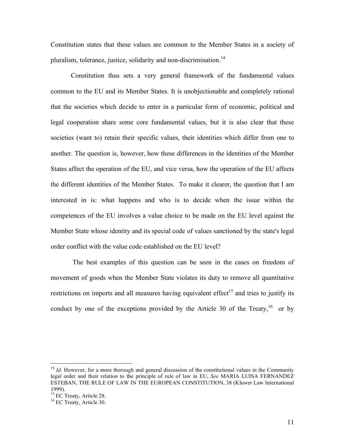Constitution states that these values are common to the Member States in a society of pluralism, tolerance, justice, solidarity and non-discrimination.<sup>14</sup>

Constitution thus sets a very general framework of the fundamental values common to the EU and its Member States. It is unobjectionable and completely rational that the societies which decide to enter in a particular form of economic, political and legal cooperation share some core fundamental values, but it is also clear that these societies (want to) retain their specific values, their identities which differ from one to another. The question is, however, how these differences in the identities of the Member States affect the operation of the EU, and vice versa, how the operation of the EU affects the different identities of the Member States. To make it clearer, the question that I am interested in is: what happens and who is to decide when the issue within the competences of the EU involves a value choice to be made on the EU level against the Member State whose identity and its special code of values sanctioned by the state's legal order conflict with the value code established on the EU level?

The best examples of this question can be seen in the cases on freedom of movement of goods when the Member State violates its duty to remove all quantitative restrictions on imports and all measures having equivalent effect<sup>15</sup> and tries to justify its conduct by one of the exceptions provided by the Article 30 of the Treaty,  $16$  or by

<sup>&</sup>lt;sup>14</sup> *Id.* However, for a more thorough and general discussion of the constitutional values in the Community legal order and their relation to the principle of rule of law in EU, *See* MARIA LUISA FERNANDEZ ESTEBAN, THE RULE OF LAW IN THE EUROPEAN CONSTITUTION, 38 (Kluwer Law International 1999).<br><sup>15</sup> EC Treaty, Article 28.<br><sup>16</sup> EC Treaty, Article 30.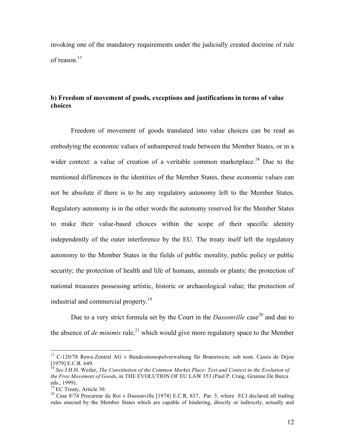invoking one of the mandatory requirements under the judicially created doctrine of rule of reason.<sup>17</sup>

### **b) Freedom of movement of goods, exceptions and justifications in terms of value choices**

Freedom of movement of goods translated into value choices can be read as embodying the economic values of unhampered trade between the Member States, or in a wider context: a value of creation of a veritable common marketplace.<sup>18</sup> Due to the mentioned differences in the identities of the Member States, these economic values can not be absolute if there is to be any regulatory autonomy left to the Member States. Regulatory autonomy is in the other words the autonomy reserved for the Member States to make their value-based choices within the scope of their specific identity independently of the outer interference by the EU. The treaty itself left the regulatory autonomy to the Member States in the fields of public morality, public policy or public security; the protection of health and life of humans, animals or plants; the protection of national treasures possessing artistic, historic or archaeological value; the protection of industrial and commercial property.<sup>19</sup>

Due to a very strict formula set by the Court in the *Dassonville* case<sup>20</sup> and due to the absence of *de minimis* rule, 21 which would give more regulatory space to the Member

<sup>&</sup>lt;sup>17</sup> C-120/78 Rewe-Zentral AG v Bundesmonopolverwaltung für Branntwein; sub nom. Cassis de Dijon [1979] E.C.R. 649.<br><sup>18</sup> See J.H.H. Weiler, *The Constitution of the Common Market Place: Text and Context in the Evolution of* 

*the Free Movement of Goods*, in THE EVOLUTION OF EU LAW 353 (Paul P. Craig, Grainne De Burca eds., 1999).<br><sup>19</sup> EC Treaty, Article 30.<br><sup>20</sup> Case 8/74 Procureur du Roi v Dassonville [1974] E.C.R. 837, Par. 5, where ECJ declared all trading

rules enacted by the Member States which are capable of hindering, directly or indirectly, actually and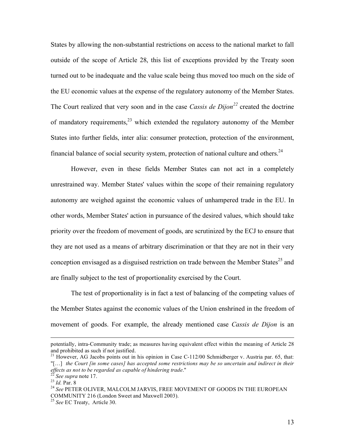States by allowing the non-substantial restrictions on access to the national market to fall outside of the scope of Article 28, this list of exceptions provided by the Treaty soon turned out to be inadequate and the value scale being thus moved too much on the side of the EU economic values at the expense of the regulatory autonomy of the Member States. The Court realized that very soon and in the case *Cassis de Dijon <sup>22</sup>* created the doctrine of mandatory requirements, $^{23}$  which extended the regulatory autonomy of the Member States into further fields, inter alia: consumer protection, protection of the environment, financial balance of social security system, protection of national culture and others.<sup>24</sup>

However, even in these fields Member States can not act in a completely unrestrained way. Member States' values within the scope of their remaining regulatory autonomy are weighed against the economic values of unhampered trade in the EU. In other words, Member States' action in pursuance of the desired values, which should take priority over the freedom of movement of goods, are scrutinized by the ECJ to ensure that they are not used as a means of arbitrary discrimination or that they are not in their very conception envisaged as a disguised restriction on trade between the Member States<sup>25</sup> and are finally subject to the test of proportionality exercised by the Court.

The test of proportionality is in fact a test of balancing of the competing values of the Member States against the economic values of the Union enshrined in the freedom of movement of goods. For example, the already mentioned case *Cassis de Dijon* is an

 $\overline{a}$ 

potentially, intra-Community trade; as measures having equivalent effect within the meaning of Article 28 and prohibited as such if not justified.<br><sup>21</sup> However, AG Jacobs points out in his opinion in Case C-112/00 Schmidberger v. Austria par. 65, that:

<sup>&</sup>quot;[…] *the Court [in some cases] has accepted some restrictions may be so uncertain and indirect in their*

<sup>&</sup>lt;sup>22</sup> See supra note 17.<br><sup>23</sup> Id. Par. 8<br><sup>24</sup> See PETER OLIVER, MALCOLM JARVIS, FREE MOVEMENT OF GOODS IN THE EUROPEAN COMMUNITY <sup>216</sup> (London Sweet and Maxwell 2003). <sup>25</sup> *See* EC Treaty, Article 30.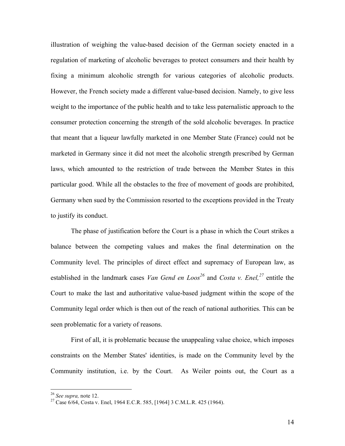illustration of weighing the value-based decision of the German society enacted in a regulation of marketing of alcoholic beverages to protect consumers and their health by fixing a minimum alcoholic strength for various categories of alcoholic products. However, the French society made a different value-based decision. Namely, to give less weight to the importance of the public health and to take less paternalistic approach to the consumer protection concerning the strength of the sold alcoholic beverages. In practice that meant that a liqueur lawfully marketed in one Member State (France) could not be marketed in Germany since it did not meet the alcoholic strength prescribed by German laws, which amounted to the restriction of trade between the Member States in this particular good. While all the obstacles to the free of movement of goods are prohibited, Germany when sued by the Commission resorted to the exceptions provided in the Treaty to justify its conduct.

The phase of justification before the Court is a phase in which the Court strikes a balance between the competing values and makes the final determination on the Community level. The principles of direct effect and supremacy of European law, as established in the landmark cases *Van Gend en Loos <sup>26</sup>* and *Costa v. Enel, <sup>27</sup>* entitle the Court to make the last and authoritative value-based judgment within the scope of the Community legal order which is then out of the reach of national authorities. This can be seen problematic for a variety of reasons.

First of all, it is problematic because the unappealing value choice, which imposes constraints on the Member States' identities, is made on the Community level by the Community institution, i.e. by the Court. As Weiler points out, the Court as a

<sup>&</sup>lt;sup>26</sup> *See supra*, note 12.<br><sup>27</sup> Case 6/64, Costa v. Enel, 1964 E.C.R. 585, [1964] 3 C.M.L.R. 425 (1964).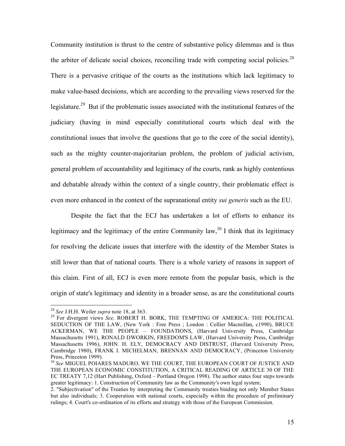Community institution is thrust to the centre of substantive policy dilemmas and is thus the arbiter of delicate social choices, reconciling trade with competing social policies.<sup>28</sup> There is a pervasive critique of the courts as the institutions which lack legitimacy to make value-based decisions, which are according to the prevailing views reserved for the legislature.<sup>29</sup> But if the problematic issues associated with the institutional features of the judiciary (having in mind especially constitutional courts which deal with the constitutional issues that involve the questions that go to the core of the social identity), such as the mighty counter-majoritarian problem, the problem of judicial activism, general problem of accountability and legitimacy of the courts, rank as highly contentious and debatable already within the context of a single country, their problematic effect is even more enhanced in the context of the supranational entity *sui generis* such as the EU.

Despite the fact that the ECJ has undertaken a lot of efforts to enhance its legitimacy and the legitimacy of the entire Community law,<sup>30</sup> I think that its legitimacy for resolving the delicate issues that interfere with the identity of the Member States is still lower than that of national courts. There is a whole variety of reasons in support of this claim. First of all, ECJ is even more remote from the popular basis, which is the origin of state's legitimacy and identity in a broader sense, as are the constitutional courts

<sup>&</sup>lt;sup>28</sup> *See* J.H.H. Weiler *supra* note 18, at 363. 29 For divergent views *See*, ROBERT H. BORK, THE TEMPTING OF AMERICA: THE POLITICAL SEDUCTION OF THE LAW, (New York : Free Press ; London : Collier Macmillan, c1990), BRUCE ACKERMAN, WE THE PEOPLE – FOUNDATIONS, (Harvard University Press, Cambridge Massachusetts 1991), RONALD DWORKIN, FREEDOM'S LAW, (Harvard University Press, Cambridge Massachusetts 1996), JOHN. H. ELY, DEMOCRACY AND DISTRUST, (Harvard University Press, Cambridge 1980), FRANK I. MICHELMAN, BRENNAN AND DEMOCRACY, (Princeton University Press, Princeton 1999).

<sup>&</sup>lt;sup>30</sup> See MIGUEL POIARES MADURO, WE THE COURT, THE EUROPEAN COURT OF JUSTICE AND THE EUROPEAN ECONOMIC CONSTITUTION, A CRITICAL READING OF ARTICLE 30 OF THE EC TREATY 7,12 (Hart Publishing, Oxford – Portland Oregon 1998). The author states four steps towards greater legitimacy: 1. Construction of Community law as the Community's own legal system;

<sup>2.</sup> "Subjectivation" of the Treaties by interpreting the Community treaties binding not only Member States but also individuals; 3. Cooperation with national courts, especially within the procedure of preliminary rulings; 4. Court's co-ordination of its efforts and strategy with those of the European Commission.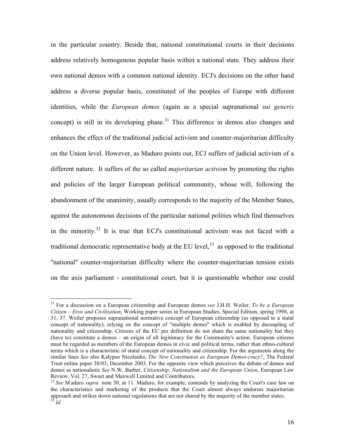in the particular country. Beside that, national constitutional courts in their decisions address relatively homogenous popular basis within a national state. They address their own national demos with a common national identity. ECJ's decisions on the other hand address a diverse popular basis, constituted of the peoples of Europe with different identities, while the *European demos* (again as a special supranational *sui generis* concept) is still in its developing phase.<sup>31</sup> This difference in demos also changes and enhances the effect of the traditional judicial activism and counter-majoritarian difficulty on the Union level. However, as Maduro points out, ECJ suffers of judicial activism of a different nature. It suffers of the so called *majoritarian activism* by promoting the rights and policies of the larger European political community, whose will, following the abandonment of the unanimity, usually corresponds to the majority of the Member States, against the autonomous decisions of the particular national polities which find themselves in the minority.<sup>32</sup> It is true that ECJ's constitutional activism was not faced with a traditional democratic representative body at the EU level, $^{33}$  as opposed to the traditional "national" counter-majoritarian difficulty where the counter-majoritarian tension exists on the axis parliament - constitutional court, but it is questionable whether one could

 <sup>31</sup> For <sup>a</sup> discussion on <sup>a</sup> European citizenship and European demos *see* J.H.H. Weiler, *To be <sup>a</sup> European Citizen – Eros and Civilization*, Working paper series in European Studies, Special Edition, spring 1998, at 31, 37. Weiler proposes supranational normative concept of European citizenship (as opposed to a statal concept of nationality), relying on the concept of "multiple demoi" which is enabled by decoupling of nationality and citizenship. Citizens of the EU per definition do not share the same nationality but they (have to) constitute a demos – an origin of all legitimacy for the Community's action. European citizens must be regarded as members of the European demos in civic and political terms, rather than ethno-cultural terms which is a characteristic of statal concept of nationality and citizenship. For the arguments along the similar lines *See* also Kalypso Nicolaidis, *The New Constitution as European Demoi-cracy?*, The Federal Trust online paper 38/03, December 2003. For the opposite view which perceives the debate of demos and demoi as nationalistic *See* N.W. Barber, *Citizenship, Nationalism and the European Union*, European Law

<sup>&</sup>lt;sup>32</sup> See M aduro *supra* note 30, at 11. Maduro, for example, contends by analyzing the Court's case law on the characteristics and marketing of the products that the Court almost always endorses majoritarian approach and strikes down national regulations that are not shared by the majority of the member states.<br><sup>33</sup> *Id.*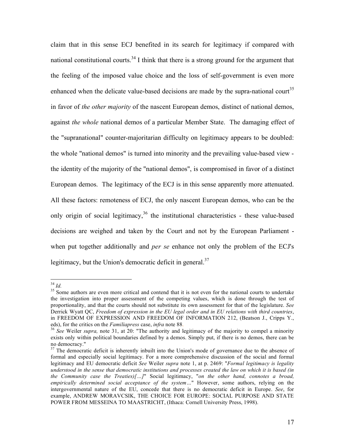claim that in this sense ECJ benefited in its search for legitimacy if compared with national constitutional courts.<sup>34</sup> I think that there is a strong ground for the argument that the feeling of the imposed value choice and the loss of self-government is even more enhanced when the delicate value-based decisions are made by the supra-national court<sup>35</sup> in favor of *the other majority* of the nascent European demos, distinct of national demos, against *the whole* national demos of a particular Member State. The damaging effect of the "supranational" counter-majoritarian difficulty on legitimacy appears to be doubled: the whole "national demos" is turned into minority and the prevailing value-based view the identity of the majority of the "national demos", is compromised in favor of a distinct European demos. The legitimacy of the ECJ is in this sense apparently more attenuated. All these factors: remoteness of ECJ, the only nascent European demos, who can be the only origin of social legitimacy,  $36$  the institutional characteristics - these value-based decisions are weighed and taken by the Court and not by the European Parliament when put together additionally and *per se* enhance not only the problem of the ECJ's legitimacy, but the Union's democratic deficit in general.<sup>37</sup>

<sup>&</sup>lt;sup>34</sup> *Id.* Some authors are even more critical and contend that it is not even for the national courts to undertake the investigation into proper assessment of the competing values, which is done through the test of proportionality, and that the courts should not substitute its own assessment for that of the legislature. *See* Derrick Wyatt QC, *Freedom of expression in the EU legal order and in EU relations with third countries*, in FREEDOM OF EXPRESSION AND FREEDOM OF INFORMATION 212, (Beatson J., Cripps Y., eds), for the critics on the *Familiapress* case, *infra* note 88.<br><sup>36</sup> *See* Weiler *supra*, note 31, at 20: "The authority and legitimacy of the majority to compel a minority

exists only within political boundaries defined by a demos. Simply put, if there is no demos, there can be

 $37$  The democratic deficit is inherently inbuilt into the Union's mode of governance due to the absence of formal and especially social legitimacy. For a more comprehensive discussion of the social and formal legitimacy and EU democratic deficit *See* Weiler *supra* note 1, at p. 2469: "*Formal legitimacy is legality* understood in the sense that democratic institutions and processes created the law on which it is based (in *the Community case the Treaties)[…]*" Social legitimacy, "*on the other hand, connotes a broad, empirically determined social acceptance of the system…*" However, some authors, relying on the intergovernmental nature of the EU, concede that there is no democratic deficit in Europe. *See*, for example, ANDREW MORAVCSIK, THE CHOICE FOR EUROPE: SOCIAL PURPOSE AND STATE POWER FROM MESSEINA TO MAASTRICHT, (Ithaca: Cornell University Press, 1998).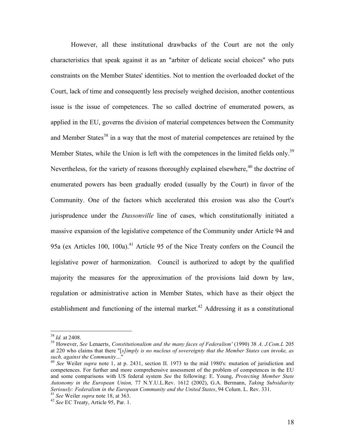However, all these institutional drawbacks of the Court are not the only characteristics that speak against it as an "arbiter of delicate social choices" who puts constraints on the Member States' identities. Not to mention the overloaded docket of the Court, lack of time and consequently less precisely weighed decision, another contentious issue is the issue of competences. The so called doctrine of enumerated powers, as applied in the EU, governs the division of material competences between the Community and Member States<sup>38</sup> in a way that the most of material competences are retained by the Member States, while the Union is left with the competences in the limited fields only.<sup>39</sup> Nevertheless, for the variety of reasons thoroughly explained elsewhere, <sup>40</sup> the doctrine of enumerated powers has been gradually eroded (usually by the Court) in favor of the Community. One of the factors which accelerated this erosion was also the Court's jurisprudence under the *Dassonville* line of cases, which constitutionally initiated a massive expansion of the legislative competence of the Community under Article 94 and 95a (ex Articles 100, 100a).<sup>41</sup> Article 95 of the Nice Treaty confers on the Council the legislative power of harmonization. Council is authorized to adopt by the qualified majority the measures for the approximation of the provisions laid down by law, regulation or administrative action in Member States, which have as their object the establishment and functioning of the internal market.<sup>42</sup> Addressing it as a constitutional

<sup>38</sup> *Id.* at 2408. <sup>39</sup> However, *See* Lenaerts, *Constitutionalism and the many faces of Federalism'* (1990) <sup>38</sup> *A. J.Com.L* <sup>205</sup> at 220 who claims that there "[*s]imply is no nucleus of sovereignty that the Member States can invoke, as such, against the Community*..."<br><sup>40</sup> *See* Weiler *supra* note 1, at p. 2431, section II. 1973 to the mid 1980's: mutation of jurisdiction and

competences. For further and more comprehensive assessment of the problem of competences in the EU and some comparisons with US federal system *See* the following: E. Young, *Protecting Member State Autonomy in the European Union,* 77 N.Y.U.L.Rev. 1612 (2002), G.A. Bermann, *Taking Subsidiarity* Seriously: Federalism in the European Community and the United States, 94 Colum. L. Rev. 331.<br><sup>41</sup> See Weiler supra note 18, at 363.<br><sup>42</sup> See EC Treaty, Article 95, Par. 1.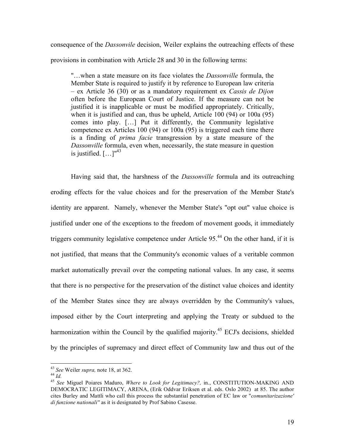consequence of the *Dassonvile* decision, Weiler explains the outreaching effects of these provisions in combination with Article 28 and 30 in the following terms:

"…when a state measure on its face violates the *Dassonville* formula, the Member State is required to justify it by reference to European law criteria – ex Article 36 (30) or as a mandatory requirement ex *Cassis de Dijon* often before the European Court of Justice. If the measure can not be justified it is inapplicable or must be modified appropriately. Critically, when it is justified and can, thus be upheld, Article 100 (94) or 100a (95) comes into play. […] Put it differently, the Community legislative competence ex Articles 100 (94) or 100a (95) is triggered each time there is a finding of *prima facie* transgression by a state measure of the *Dassonville* formula, even when, necessarily, the state measure in question is justified.  $[\dots]^{43}$ 

Having said that, the harshness of the *Dassonville* formula and its outreaching eroding effects for the value choices and for the preservation of the Member State's identity are apparent. Namely, whenever the Member State's "opt out" value choice is justified under one of the exceptions to the freedom of movement goods, it immediately triggers community legislative competence under Article 95. <sup>44</sup> On the other hand, if it is not justified, that means that the Community's economic values of a veritable common market automatically prevail over the competing national values. In any case, it seems that there is no perspective for the preservation of the distinct value choices and identity of the Member States since they are always overridden by the Community's values, imposed either by the Court interpreting and applying the Treaty or subdued to the harmonization within the Council by the qualified majority.<sup>45</sup> ECJ's decisions, shielded by the principles of supremacy and direct effect of Community law and thus out of the

<sup>43</sup> *See* Weiler *supra*, note 18, at 362.<br><sup>44</sup> *Id.* 45 *See* Miguel Poiares Maduro, *Where to Look for Legitimacy?*, in., CONSTITUTION-MAKING AND DEMOCRATIC LEGITIMACY, ARENA, (Erik Oddvar Eriksen et al. eds. Oslo 2002) at 85. The author cites Burley and Mattli who call this process the substantial penetration of EC law or "*comunitarizazione' di funzione nationali''* as it is designated by Prof Sabino Casesse.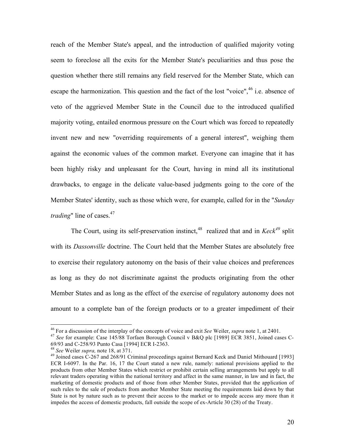reach of the Member State's appeal, and the introduction of qualified majority voting seem to foreclose all the exits for the Member State's peculiarities and thus pose the question whether there still remains any field reserved for the Member State, which can escape the harmonization. This question and the fact of the lost "voice",<sup>46</sup> i.e. absence of veto of the aggrieved Member State in the Council due to the introduced qualified majority voting, entailed enormous pressure on the Court which was forced to repeatedly invent new and new "overriding requirements of a general interest", weighing them against the economic values of the common market. Everyone can imagine that it has been highly risky and unpleasant for the Court, having in mind all its institutional drawbacks, to engage in the delicate value-based judgments going to the core of the Member States' identity, such as those which were, for example, called for in the "*Sunday trading*" line of cases. 47

The Court, using its self-preservation instinct, <sup>48</sup> realized that and in *Keck <sup>49</sup>* split with its *Dassonville* doctrine. The Court held that the Member States are absolutely free to exercise their regulatory autonomy on the basis of their value choices and preferences as long as they do not discriminate against the products originating from the other Member States and as long as the effect of the exercise of regulatory autonomy does not amount to a complete ban of the foreign products or to a greater impediment of their

<sup>&</sup>lt;sup>46</sup> For a discussion of the interplay of the concepts of voice and exit *See* Weiler, *supra* note 1, at 2401.<br><sup>47</sup> *See* for example: Case 145/88 Torfaen Borough Council v B&Q plc [1989] ECR 3851, Joined cases C-69/93 a

<sup>&</sup>lt;sup>48</sup> See Weiler *supra*, note 18, at 371.<br><sup>49</sup> Joined cases C-267 and 268/91 Criminal proceedings against Bernard Keck and Daniel Mithouard [1993] ECR I-6097. In the Par. 16, 17 the Court stated a new rule, namely: national provisions applied to the products from other Member States which restrict or prohibit certain selling arrangements but apply to all relevant traders operating within the national territory and affect in the same manner, in law and in fact, the marketing of domestic products and of those from other Member States, provided that the application of such rules to the sale of products from another Member State meeting the requirements laid down by that State is not by nature such as to prevent their access to the market or to impede access any more than it impedes the access of domestic products, fall outside the scope of ex-Article 30 (28) of the Treaty.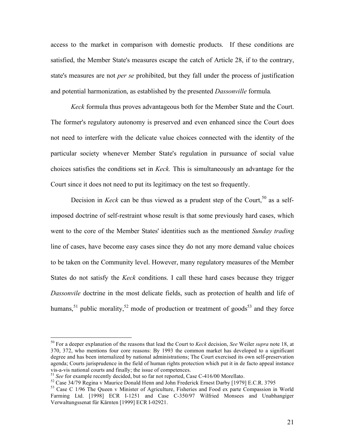access to the market in comparison with domestic products. If these conditions are satisfied, the Member State's measures escape the catch of Article 28, if to the contrary, state's measures are not *per se* prohibited, but they fall under the process of justification and potential harmonization, as established by the presented *Dassonville* formula*.*

*Keck* formula thus proves advantageous both for the Member State and the Court. The former's regulatory autonomy is preserved and even enhanced since the Court does not need to interfere with the delicate value choices connected with the identity of the particular society whenever Member State's regulation in pursuance of social value choices satisfies the conditions set in *Keck.* This is simultaneously an advantage for the Court since it does not need to put its legitimacy on the test so frequently.

Decision in *Keck* can be thus viewed as a prudent step of the Court,<sup>50</sup> as a selfimposed doctrine of self-restraint whose result is that some previously hard cases, which went to the core of the Member States' identities such as the mentioned *Sunday trading* line of cases, have become easy cases since they do not any more demand value choices to be taken on the Community level. However, many regulatory measures of the Member States do not satisfy the *Keck* conditions. I call these hard cases because they trigger *Dassonvile* doctrine in the most delicate fields, such as protection of health and life of humans,<sup>51</sup> public morality,<sup>52</sup> mode of production or treatment of goods<sup>53</sup> and they force

 <sup>50</sup> For <sup>a</sup> deeper explanation of the reasons that lead the Court to *Keck* decision, *See* Weiler *supra* note 18, at 370, 372, who mentions four core reasons: By 1993 the common market has developed to a significant degree and has been internalized by national administrations; The Court exercised its own self-preservation agenda; Courts jurisprudence in the field of human rights protection which put it in de facto appeal instance vis-a-vis national courts and finally; the issue of competences.<br><sup>51</sup> See for example recently decided, but so far not reported, Case C-416/00 Morellato.<br><sup>52</sup> Case 34/79 Regina v Maurice Donald Henn and John Frederick Erne

Farming Ltd. [1998] ECR I-1251 and Case C-350/97 Wilfried Monsees and Unabhangiger Verwaltungssenat für Kärnten [1999] ECR I-02921.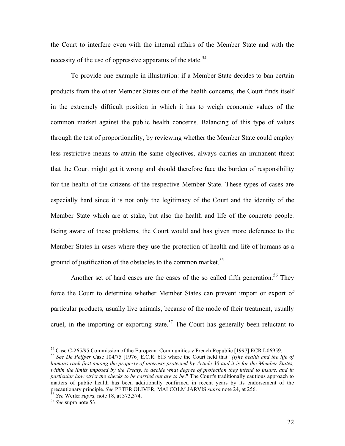the Court to interfere even with the internal affairs of the Member State and with the necessity of the use of oppressive apparatus of the state.<sup>54</sup>

To provide one example in illustration: if a Member State decides to ban certain products from the other Member States out of the health concerns, the Court finds itself in the extremely difficult position in which it has to weigh economic values of the common market against the public health concerns. Balancing of this type of values through the test of proportionality, by reviewing whether the Member State could employ less restrictive means to attain the same objectives, always carries an immanent threat that the Court might get it wrong and should therefore face the burden of responsibility for the health of the citizens of the respective Member State. These types of cases are especially hard since it is not only the legitimacy of the Court and the identity of the Member State which are at stake, but also the health and life of the concrete people. Being aware of these problems, the Court would and has given more deference to the Member States in cases where they use the protection of health and life of humans as a ground of justification of the obstacles to the common market.<sup>55</sup>

Another set of hard cases are the cases of the so called fifth generation.<sup>56</sup> They force the Court to determine whether Member States can prevent import or export of particular products, usually live animals, because of the mode of their treatment, usually cruel, in the importing or exporting state.<sup>57</sup> The Court has generally been reluctant to

<sup>&</sup>lt;sup>54</sup> Case C-265/95 Commission of the European Communities v French Republic [1997] ECR I-06959.<br><sup>55</sup> See De Peijper Case 104/75 [1976] E.C.R. 613 where the Court held that "[t] he health and the life of

humans rank first among the property of interests protected by Article 30 and it is for the Member States, within the limits imposed by the Treaty, to decide what degree of protection they intend to insure, and in *particular how strict the checks to be carried out are to be*." The Court's traditionally cautious approach to matters of public health has been additionally confirmed in recent years by its endorsement of the precautionary principle. *See* PETER OLIVER, MALCOLM JARVIS *supra* note 24, at 256. <sup>56</sup> *See* Weiler *supra*, note 18, at 373,374. <sup>57</sup> *See* supra note 53.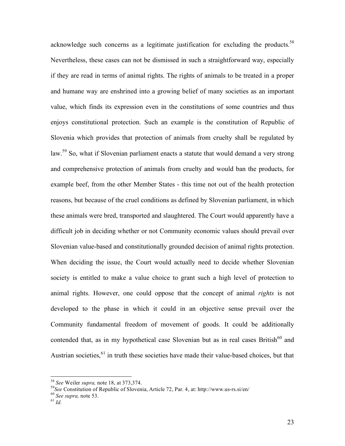acknowledge such concerns as a legitimate justification for excluding the products.<sup>58</sup> Nevertheless, these cases can not be dismissed in such a straightforward way, especially if they are read in terms of animal rights. The rights of animals to be treated in a proper and humane way are enshrined into a growing belief of many societies as an important value, which finds its expression even in the constitutions of some countries and thus enjoys constitutional protection. Such an example is the constitution of Republic of Slovenia which provides that protection of animals from cruelty shall be regulated by law.<sup>59</sup> So, what if Slovenian parliament enacts a statute that would demand a very strong and comprehensive protection of animals from cruelty and would ban the products, for example beef, from the other Member States - this time not out of the health protection reasons, but because of the cruel conditions as defined by Slovenian parliament, in which these animals were bred, transported and slaughtered. The Court would apparently have a difficult job in deciding whether or not Community economic values should prevail over Slovenian value-based and constitutionally grounded decision of animal rights protection. When deciding the issue, the Court would actually need to decide whether Slovenian society is entitled to make a value choice to grant such a high level of protection to animal rights. However, one could oppose that the concept of animal *rights* is not developed to the phase in which it could in an objective sense prevail over the Community fundamental freedom of movement of goods. It could be additionally contended that, as in my hypothetical case Slovenian but as in real cases British $^{60}$  and Austrian societies,  $61$  in truth these societies have made their value-based choices, but that

<sup>&</sup>lt;sup>58</sup> *See* Weiler *supra*, note 18, at 373,374.

*See* Constitution of Republic of Slovenia, Article 72, Par. 4, at: http://www.us-rs.si/en/ <sup>60</sup> *See supra,* note 53. <sup>61</sup> *Id.*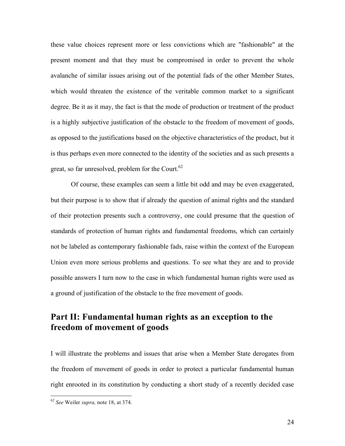these value choices represent more or less convictions which are "fashionable" at the present moment and that they must be compromised in order to prevent the whole avalanche of similar issues arising out of the potential fads of the other Member States, which would threaten the existence of the veritable common market to a significant degree. Be it as it may, the fact is that the mode of production or treatment of the product is a highly subjective justification of the obstacle to the freedom of movement of goods, as opposed to the justifications based on the objective characteristics of the product, but it is thus perhaps even more connected to the identity of the societies and as such presents a great, so far unresolved, problem for the Court.<sup>62</sup>

Of course, these examples can seem a little bit odd and may be even exaggerated, but their purpose is to show that if already the question of animal rights and the standard of their protection presents such a controversy, one could presume that the question of standards of protection of human rights and fundamental freedoms, which can certainly not be labeled as contemporary fashionable fads, raise within the context of the European Union even more serious problems and questions. To see what they are and to provide possible answers I turn now to the case in which fundamental human rights were used as a ground of justification of the obstacle to the free movement of goods.

# **Part II: Fundamental human rights as an exception to the freedom of movement of goods**

I will illustrate the problems and issues that arise when a Member State derogates from the freedom of movement of goods in order to protect a particular fundamental human right enrooted in its constitution by conducting a short study of a recently decided case

 <sup>62</sup> *See* Weiler *supra,* note 18, at 374.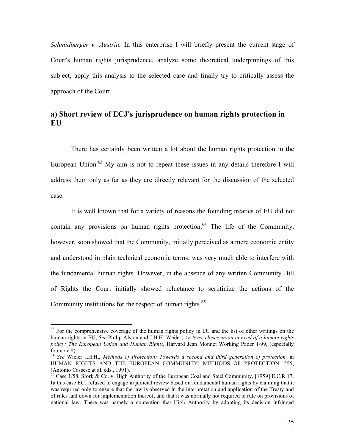*Schmidberger v. Austria.* In this enterprise I will briefly present the current stage of Court's human rights jurisprudence, analyze some theoretical underpinnings of this subject, apply this analysis to the selected case and finally try to critically assess the approach of the Court.

# **a) Short review of ECJ's jurisprudence on human rights protection in EU**

There has certainly been written a lot about the human rights protection in the European Union.<sup>63</sup> My aim is not to repeat these issues in any details therefore I will address them only as far as they are directly relevant for the discussion of the selected case.

It is well known that for a variety of reasons the founding treaties of EU did not contain any provisions on human rights protection.<sup>64</sup> The life of the Community, however, soon showed that the Community, initially perceived as a mere economic entity and understood in plain technical economic terms, was very much able to interfere with the fundamental human rights. However, in the absence of any written Community Bill of Rights the Court initially showed reluctance to scrutinize the actions of the Community institutions for the respect of human rights.<sup>65</sup>

<sup>&</sup>lt;sup>63</sup> For the comprehensive coverage of the human rights policy in EU and the list of other writings on the human rights in EU, *See* Philip Alston and J.H.H. Weiler, *An 'ever closer union in need of a human rights policy: The European Union and Human Rights*, Harvard Jean Monnet Working Paper 1/99, (especially footnote 8). <sup>64</sup> *See* Wieler J.H.H., *Methods of Protection: Towards <sup>a</sup> second and third generation of protection,* in

HUMAN RIGHTS AND THE EUROPEAN COMMUNITY: METHODS OF PROTECTION, 555, (Antonio Cassese at al. eds., 1991).

 $\frac{65}{65}$  Case 1/58, Stork & Co. v. High Authority of the European Coal and Steel Community, [1959] E.C.R 17. In this case ECJ refused to engage in judicial review based on fundamental human rights by claiming that it was required only to ensure that the law is observed in the interpretation and application of the Treaty and of rules laid down for implementation thereof, and that it was normally not required to rule on provisions of national law. There was namely a contention that High Authority by adopting its decision infringed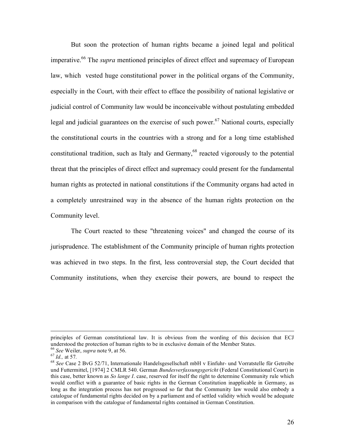But soon the protection of human rights became a joined legal and political imperative. <sup>66</sup> The *supra* mentioned principles of direct effect and supremacy of European law, which vested huge constitutional power in the political organs of the Community, especially in the Court, with their effect to efface the possibility of national legislative or judicial control of Community law would be inconceivable without postulating embedded legal and judicial guarantees on the exercise of such power.<sup>67</sup> National courts, especially the constitutional courts in the countries with a strong and for a long time established constitutional tradition, such as Italy and Germany,<sup>68</sup> reacted vigorously to the potential threat that the principles of direct effect and supremacy could present for the fundamental human rights as protected in national constitutions if the Community organs had acted in a completely unrestrained way in the absence of the human rights protection on the Community level.

The Court reacted to these "threatening voices" and changed the course of its jurisprudence. The establishment of the Community principle of human rights protection was achieved in two steps. In the first, less controversial step, the Court decided that Community institutions, when they exercise their powers, are bound to respect the

principles of German constitutional law. It is obvious from the wording of this decision that ECJ understood the protection of human rights to be in exclusive domain of the Member States.<br>
<sup>66</sup> See Weiler, *supra* note 9, at 56.<br>
<sup>67</sup> Id., at 57.<br>
<sup>68</sup> See Case 2 BvG 52/71, Internationale Handelsgesellschaft mbH v Ein

und Futtermittel, [1974] 2 CMLR 540. German *Bundesverfassungsgericht* (Federal Constitutional Court) in this case, better known as *So lange I*. case, reserved for itself the right to determine Community rule which would conflict with a guarantee of basic rights in the German Constitution inapplicable in Germany, as long as the integration process has not progressed so far that the Community law would also embody a catalogue of fundamental rights decided on by a parliament and of settled validity which would be adequate in comparison with the catalogue of fundamental rights contained in German Constitution.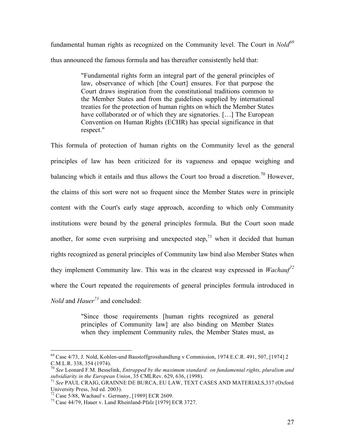fundamental human rights as recognized on the Community level. The Court in *Nold<sup>69</sup>* thus announced the famous formula and has thereafter consistently held that:

> "Fundamental rights form an integral part of the general principles of law, observance of which [the Court] ensures. For that purpose the Court draws inspiration from the constitutional traditions common to the Member States and from the guidelines supplied by international treaties for the protection of human rights on which the Member States have collaborated or of which they are signatories. [...] The European Convention on Human Rights (ECHR) has special significance in that respect."

This formula of protection of human rights on the Community level as the general principles of law has been criticized for its vagueness and opaque weighing and balancing which it entails and thus allows the Court too broad a discretion.<sup>70</sup> However, the claims of this sort were not so frequent since the Member States were in principle content with the Court's early stage approach, according to which only Community institutions were bound by the general principles formula. But the Court soon made another, for some even surprising and unexpected step,<sup>71</sup> when it decided that human rights recognized as general principles of Community law bind also Member States when they implement Community law. This was in the clearest way expressed in *Wachauf<sup>72</sup>* where the Court repeated the requirements of general principles formula introduced in *Nold* and *Hauer <sup>73</sup>* and concluded:

> "Since those requirements [human rights recognized as general principles of Community law] are also binding on Member States when they implement Community rules, the Member States must, as

 $^{69}$  Case 4/73, J. Nold, Kohlen-und Baustoffgrosshandlung v Commission, 1974 E.C.R. 491, 507, [1974] 2<br>C.M.L.R. 338, 354 (1974).

<sup>&</sup>lt;sup>70</sup> See Leonard F.M. Besselink, *Entrapped by the maximum standard: on fundamental rights, pluralism and subsidiarity in the <i>European Union*, 35 CMLRev. 629, 636, (1998).

<sup>&</sup>lt;sup>71</sup> See PAUL CRAIG, GRAINNE DE BURCA, EU LAW, TEXT CASES AND MATERIALS,337 (Oxford University Press, 3rd ed. 2003).<br><sup>72</sup> Case 5/88, Wachauf v. Germany, [1989] ECR 2609.<br><sup>73</sup> Case 44/79, Hauer v. Land Rheinland-Pfalz [1979] ECR 3727.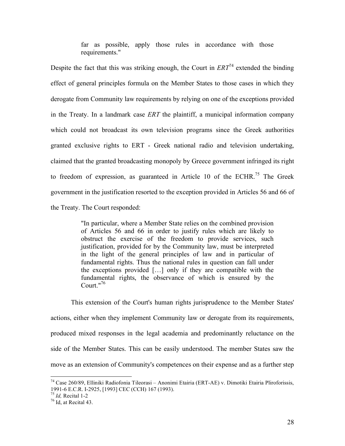far as possible, apply those rules in accordance with those requirements."

Despite the fact that this was striking enough, the Court in  $ERT^{74}$  extended the binding effect of general principles formula on the Member States to those cases in which they derogate from Community law requirements by relying on one of the exceptions provided in the Treaty. In a landmark case *ERT* the plaintiff, a municipal information company which could not broadcast its own television programs since the Greek authorities granted exclusive rights to ERT - Greek national radio and television undertaking, claimed that the granted broadcasting monopoly by Greece government infringed its right to freedom of expression, as guaranteed in Article 10 of the ECHR.<sup>75</sup> The Greek government in the justification resorted to the exception provided in Articles 56 and 66 of the Treaty. The Court responded:

> "In particular, where a Member State relies on the combined provision of Articles 56 and 66 in order to justify rules which are likely to obstruct the exercise of the freedom to provide services, such justification, provided for by the Community law, must be interpreted in the light of the general principles of law and in particular of fundamental rights. Thus the national rules in question can fall under the exceptions provided […] only if they are compatible with the fundamental rights, the observance of which is ensured by the Court."<sup>76</sup>

This extension of the Court's human rights jurisprudence to the Member States' actions, either when they implement Community law or derogate from its requirements, produced mixed responses in the legal academia and predominantly reluctance on the side of the Member States. This can be easily understood. The member States saw the move as an extension of Community's competences on their expense and as a further step

 <sup>74</sup> Case 260/89, Elliniki Radiofonia Tileorasi – Anonimi Etairia (ERT-AE) v. Dimotiki Etairia Pliroforissis, 1991-6 E.C.R. I-2925, [1993] CEC (CCH) <sup>167</sup> (1993). <sup>75</sup> *Id,* Recital 1-2 <sup>76</sup> Id, at Recital 43.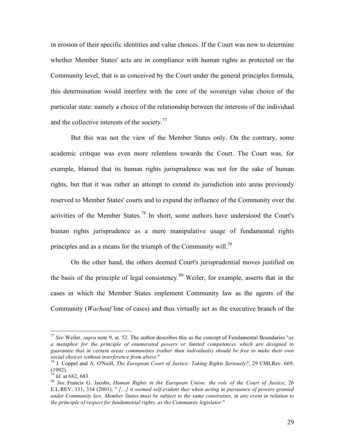in erosion of their specific identities and value choices. If the Court was now to determine whether Member States' acts are in compliance with human rights as protected on the Community level, that is as conceived by the Court under the general principles formula, this determination would interfere with the core of the sovereign value choice of the particular state: namely a choice of the relationship between the interests of the individual and the collective interests of the society. $77$ 

But this was not the view of the Member States only. On the contrary, some academic critique was even more relentless towards the Court. The Court was, for example, blamed that its human rights jurisprudence was not for the sake of human rights, but that it was rather an attempt to extend its jurisdiction into areas previously reserved to Member States' courts and to expand the influence of the Community over the activities of the Member States.<sup>78</sup> In short, some authors have understood the Court's human rights jurisprudence as a mere manipulative usage of fundamental rights principles and as a means for the triumph of the Community will.<sup>79</sup>

On the other hand, the others deemed Court's jurisprudential moves justified on the basis of the principle of legal consistency. <sup>80</sup> Weiler, for example, asserts that in the cases in which the Member States implement Community law as the agents of the Community (*Wachauf* line of cases) and thus virtually act as the executive branch of the

 <sup>77</sup> *See* Weiler, *supra* note 9, at. 52. The author describes this as the concept of Fundamental Boundaries "*as a metaphor for the principle of enumerated powers or limited competences which are designed to guarantee that in certain areas communities (rather than individuals) should be free to make their own* social choices without interference from above."<br><sup>78</sup> J. Coppel and A. O'Neill, *The European Court of Justice: Taking Rights Seriously?*, 29 CMLRev. 669,

<sup>(1992).&</sup>lt;br><sup>79</sup> Id. at 682, 683.<br><sup>80</sup> See Francis G. Jacobs, *Human Rights in the European Union: the role of the Court of Justice*, 26

E.L.REV. 331, 334 (2001). " *[…] it seemed self-evident that when acting in pursuance of powers granted* under Community law, Member States must be subject to the same constraints, in any event in relation to *the principle of respect for fundamental rights, as the Community legislator.*"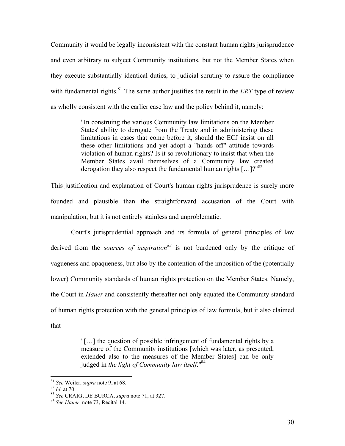Community it would be legally inconsistent with the constant human rights jurisprudence and even arbitrary to subject Community institutions, but not the Member States when they execute substantially identical duties, to judicial scrutiny to assure the compliance with fundamental rights.<sup>81</sup> The same author justifies the result in the *ERT* type of review as wholly consistent with the earlier case law and the policy behind it, namely:

> "In construing the various Community law limitations on the Member States' ability to derogate from the Treaty and in administering these limitations in cases that come before it, should the ECJ insist on all these other limitations and yet adopt a "hands off" attitude towards violation of human rights? Is it so revolutionary to insist that when the Member States avail themselves of a Community law created derogation they also respect the fundamental human rights  $[...]^{\gamma^{n82}}$

This justification and explanation of Court's human rights jurisprudence is surely more founded and plausible than the straightforward accusation of the Court with manipulation, but it is not entirely stainless and unproblematic.

Court's jurisprudential approach and its formula of general principles of law derived from the *sources of inspiration <sup>83</sup>* is not burdened only by the critique of vagueness and opaqueness, but also by the contention of the imposition of the (potentially lower) Community standards of human rights protection on the Member States. Namely, the Court in *Hauer* and consistently thereafter not only equated the Community standard of human rights protection with the general principles of law formula, but it also claimed that

> "[…] the question of possible infringement of fundamental rights by a measure of the Community institutions [which was later, as presented, extended also to the measures of the Member States] can be only judged in *the light of Community law itself*." 84

<sup>81</sup> *See* Weiler, *supra* note 9, at 68. <sup>82</sup> *Id.* at 70. <sup>83</sup> *See* CRAIG, DE BURCA, *supra* note 71, at 327. <sup>84</sup> *See Hauer* note 73, Recital 14.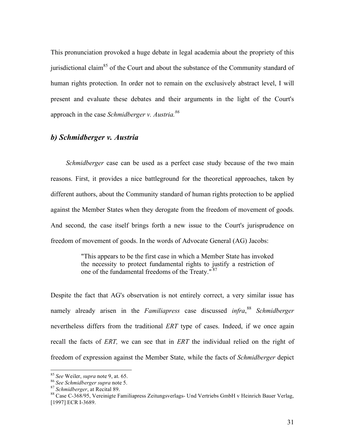This pronunciation provoked a huge debate in legal academia about the propriety of this jurisdictional claim<sup>85</sup> of the Court and about the substance of the Community standard of human rights protection. In order not to remain on the exclusively abstract level, I will present and evaluate these debates and their arguments in the light of the Court's approach in the case *Schmidberger v. Austria. 86*

### *b) Schmidberger v. Austria*

*Schmidberger* case can be used as a perfect case study because of the two main reasons. First, it provides a nice battleground for the theoretical approaches, taken by different authors, about the Community standard of human rights protection to be applied against the Member States when they derogate from the freedom of movement of goods. And second, the case itself brings forth a new issue to the Court's jurisprudence on freedom of movement of goods. In the words of Advocate General (AG) Jacobs:

> "This appears to be the first case in which a Member State has invoked the necessity to protect fundamental rights to justify a restriction of one of the fundamental freedoms of the Treaty." 87

Despite the fact that AG's observation is not entirely correct, a very similar issue has namely already arisen in the *Familiapress* case discussed *infra*, <sup>88</sup> *Schmidberger* nevertheless differs from the traditional *ERT* type of cases. Indeed, if we once again recall the facts of *ERT,* we can see that in *ERT* the individual relied on the right of freedom of expression against the Member State, while the facts of *Schmidberger* depict

<sup>&</sup>lt;sup>85</sup> See Weiler, *supra* note 9, at. 65.<br><sup>86</sup> See Schmidberger supra note 5.<br><sup>87</sup> Schmidberger, at Recital 89.<br><sup>87</sup> Schmidberger, at Recital 89.<br><sup>88</sup> Case C-368/95, Vereinigte Familiapress Zeitungsverlags- Und Vertriebs G [1997] ECR I-3689.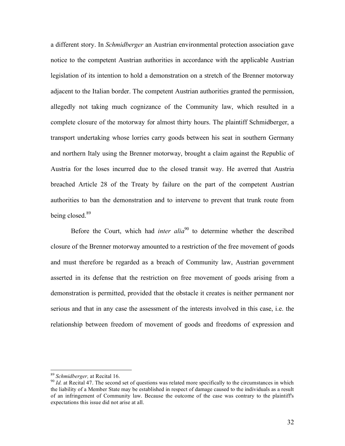a different story. In *Schmidberger* an Austrian environmental protection association gave notice to the competent Austrian authorities in accordance with the applicable Austrian legislation of its intention to hold a demonstration on a stretch of the Brenner motorway adjacent to the Italian border. The competent Austrian authorities granted the permission, allegedly not taking much cognizance of the Community law, which resulted in a complete closure of the motorway for almost thirty hours. The plaintiff Schmidberger, a transport undertaking whose lorries carry goods between his seat in southern Germany and northern Italy using the Brenner motorway, brought a claim against the Republic of Austria for the loses incurred due to the closed transit way. He averred that Austria breached Article 28 of the Treaty by failure on the part of the competent Austrian authorities to ban the demonstration and to intervene to prevent that trunk route from being closed.<sup>89</sup>

Before the Court, which had *inter alia* <sup>90</sup> to determine whether the described closure of the Brenner motorway amounted to a restriction of the free movement of goods and must therefore be regarded as a breach of Community law, Austrian government asserted in its defense that the restriction on free movement of goods arising from a demonstration is permitted, provided that the obstacle it creates is neither permanent nor serious and that in any case the assessment of the interests involved in this case, i.e. the relationship between freedom of movement of goods and freedoms of expression and

<sup>&</sup>lt;sup>89</sup> *Schmidberger*, at Recital 16.<br><sup>90</sup> *Id.* at Recital 47. The second set of questions was related more specifically to the circumstances in which the liability of a Member State may be established in respect of damage caused to the individuals as a result of an infringement of Community law. Because the outcome of the case was contrary to the plaintiff's expectations this issue did not arise at all.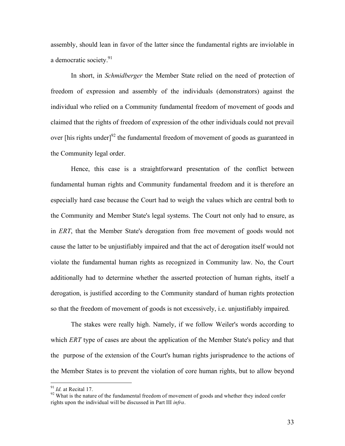assembly, should lean in favor of the latter since the fundamental rights are inviolable in a democratic society.<sup>91</sup>

In short, in *Schmidberger* the Member State relied on the need of protection of freedom of expression and assembly of the individuals (demonstrators) against the individual who relied on a Community fundamental freedom of movement of goods and claimed that the rights of freedom of expression of the other individuals could not prevail over [his rights under] $^{92}$  the fundamental freedom of movement of goods as guaranteed in the Community legal order.

Hence, this case is a straightforward presentation of the conflict between fundamental human rights and Community fundamental freedom and it is therefore an especially hard case because the Court had to weigh the values which are central both to the Community and Member State's legal systems. The Court not only had to ensure, as in *ERT*, that the Member State's derogation from free movement of goods would not cause the latter to be unjustifiably impaired and that the act of derogation itself would not violate the fundamental human rights as recognized in Community law. No, the Court additionally had to determine whether the asserted protection of human rights, itself a derogation, is justified according to the Community standard of human rights protection so that the freedom of movement of goods is not excessively, i.e. unjustifiably impaired.

The stakes were really high. Namely, if we follow Weiler's words according to which *ERT* type of cases are about the application of the Member State's policy and that the purpose of the extension of the Court's human rights jurisprudence to the actions of the Member States is to prevent the violation of core human rights, but to allow beyond

<sup>&</sup>lt;sup>91</sup> *Id.* at Recital 17. <sup>92</sup> What is the nature of the fundamental freedom of movement of goods and whether they indeed confer rights upon the individual will be discussed in Part III *infra*.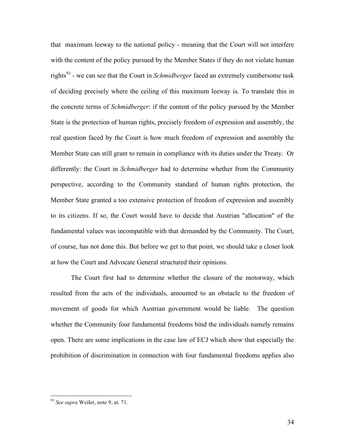that maximum leeway to the national policy - meaning that the Court will not interfere with the content of the policy pursued by the Member States if they do not violate human rights <sup>93</sup> - we can see that the Court in *Schmidberger* faced an extremely cumbersome task of deciding precisely where the ceiling of this maximum leeway is. To translate this in the concrete terms of *Schmidberger*: if the content of the policy pursued by the Member State is the protection of human rights, precisely freedom of expression and assembly, the real question faced by the Court is how much freedom of expression and assembly the Member State can still grant to remain in compliance with its duties under the Treaty. Or differently: the Court in *Schmidberger* had to determine whether from the Community perspective, according to the Community standard of human rights protection, the Member State granted a too extensive protection of freedom of expression and assembly to its citizens. If so, the Court would have to decide that Austrian "allocation" of the fundamental values was incompatible with that demanded by the Community. The Court, of course, has not done this. But before we get to that point, we should take a closer look at how the Court and Advocate General structured their opinions.

The Court first had to determine whether the closure of the motorway, which resulted from the acts of the individuals, amounted to an obstacle to the freedom of movement of goods for which Austrian government would be liable. The question whether the Community four fundamental freedoms bind the individuals namely remains open. There are some implications in the case law of ECJ which show that especially the prohibition of discrimination in connection with four fundamental freedoms applies also

 <sup>93</sup> *See supra* Weiler, note 9, at. 71.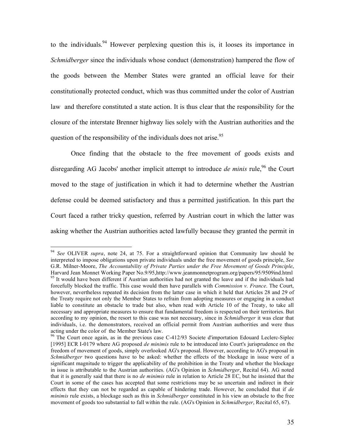to the individuals. <sup>94</sup> However perplexing question this is, it looses its importance in *Schmidberger* since the individuals whose conduct (demonstration) hampered the flow of the goods between the Member States were granted an official leave for their constitutionally protected conduct, which was thus committed under the color of Austrian law and therefore constituted a state action. It is thus clear that the responsibility for the closure of the interstate Brenner highway lies solely with the Austrian authorities and the question of the responsibility of the individuals does not arise.<sup>95</sup>

Once finding that the obstacle to the free movement of goods exists and disregarding AG Jacobs' another implicit attempt to introduce *de minis* rule, <sup>96</sup> the Court moved to the stage of justification in which it had to determine whether the Austrian defense could be deemed satisfactory and thus a permitted justification. In this part the Court faced a rather tricky question, referred by Austrian court in which the latter was asking whether the Austrian authorities acted lawfully because they granted the permit in

 <sup>94</sup> *See* OLIVER *supra*, note 24, at 75. For <sup>a</sup> straightforward opinion that Community law should be interpreted to impose obligations upon private individuals under the free movement of goods principle, *See* G.R. Milner-Moore, *The Accountability of Private Parties under the Free Movement of Goods Principle*,  $95$  It would have been different if Austrian authorities had not granted the leave and if the individuals had forcefully blocked the traffic. This case would then have parallels with *Commission v. France*. The Court, however, nevertheless repeated its decision from the latter case in which it held that Articles 28 and 29 of the Treaty require not only the Member States to refrain from adopting measures or engaging in a conduct liable to constitute an obstacle to trade but also, when read with Article 10 of the Treaty, to take all necessary and appropriate measures to ensure that fundamental freedom is respected on their territories. But according to my opinion, the resort to this case was not necessary, since in *Schmidberger* it was clear that individuals, i.e. the demonstrators, received an official permit from Austrian authorities and were thus acting under the color of the Member State's law.<br><sup>96</sup> The Court once again, as in the previous case C-412/93 Societe d'importation Edouard Leclerc-Siplec

<sup>[1995]</sup> ECR I-0179 where AG proposed *de minimis* rule to be introduced into Court's jurisprudence on the freedom of movement of goods, simply overlooked AG's proposal. However, according to AG's proposal in *Schmidberger* two questions have to be asked: whether the effects of the blockage in issue were of a significant magnitude to trigger the applicability of the prohibition in the Treaty and whether the blockage in issue is attributable to the Austrian authorities. (AG's Opinion in *Schmidberger*, Recital 64). AG noted that it is generally said that there is no *de minimis* rule in relation to Article 28 EC, but he insisted that the Court in some of the cases has accepted that some restrictions may be so uncertain and indirect in their effects that they can not be regarded as capable of hindering trade. However, he concluded that if *de minimis* rule exists, a blockage such as this in *Schmidberger* constituted in his view an obstacle to the free movement of goods too substantial to fall within the rule. (AG's Opinion in *Schmidberger*, Recital 65, 67).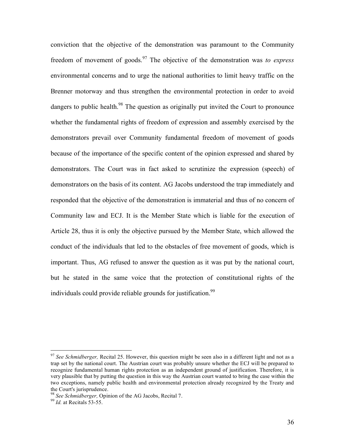conviction that the objective of the demonstration was paramount to the Community freedom of movement of goods. <sup>97</sup> The objective of the demonstration was *to express* environmental concerns and to urge the national authorities to limit heavy traffic on the Brenner motorway and thus strengthen the environmental protection in order to avoid dangers to public health.<sup>98</sup> The question as originally put invited the Court to pronounce whether the fundamental rights of freedom of expression and assembly exercised by the demonstrators prevail over Community fundamental freedom of movement of goods because of the importance of the specific content of the opinion expressed and shared by demonstrators. The Court was in fact asked to scrutinize the expression (speech) of demonstrators on the basis of its content. AG Jacobs understood the trap immediately and responded that the objective of the demonstration is immaterial and thus of no concern of Community law and ECJ. It is the Member State which is liable for the execution of Article 28, thus it is only the objective pursued by the Member State, which allowed the conduct of the individuals that led to the obstacles of free movement of goods, which is important. Thus, AG refused to answer the question as it was put by the national court, but he stated in the same voice that the protection of constitutional rights of the individuals could provide reliable grounds for justification.<sup>99</sup>

 <sup>97</sup> *See Schmidberger,* Recital 25. However, this question might be seen also in <sup>a</sup> different light and not as <sup>a</sup> trap set by the national court. The Austrian court was probably unsure whether the ECJ will be prepared to recognize fundamental human rights protection as an independent ground of justification. Therefore, it is very plausible that by putting the question in this way the Austrian court wanted to bring the case within the two exceptions, namely public health and environmental protection already recognized by the Treaty and the Court's jurisprudence. <sup>98</sup> *See Schmidberger,* Opinion of the AG Jacobs, Recital 7. <sup>99</sup> *Id.* at Recitals 53-55.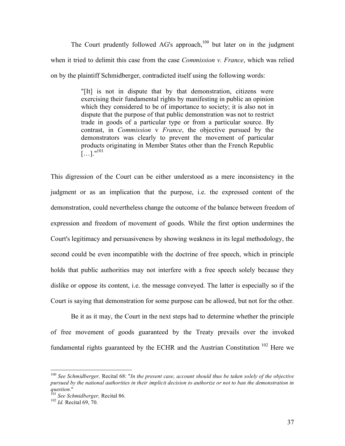The Court prudently followed AG's approach, $100$  but later on in the judgment when it tried to delimit this case from the case *Commission v. France*, which was relied on by the plaintiff Schmidberger, contradicted itself using the following words:

> "[It] is not in dispute that by that demonstration, citizens were exercising their fundamental rights by manifesting in public an opinion which they considered to be of importance to society; it is also not in dispute that the purpose of that public demonstration was not to restrict trade in goods of a particular type or from a particular source. By contrast, in *Commission* v *France*, the objective pursued by the demonstrators was clearly to prevent the movement of particular products originating in Member States other than the French Republic  $\left[ ...\right]$ ."<sup>101</sup>

This digression of the Court can be either understood as a mere inconsistency in the judgment or as an implication that the purpose, i.e. the expressed content of the demonstration, could nevertheless change the outcome of the balance between freedom of expression and freedom of movement of goods. While the first option undermines the Court's legitimacy and persuasiveness by showing weakness in its legal methodology, the second could be even incompatible with the doctrine of free speech, which in principle holds that public authorities may not interfere with a free speech solely because they dislike or oppose its content, i.e. the message conveyed. The latter is especially so if the Court is saying that demonstration for some purpose can be allowed, but not for the other.

Be it as it may, the Court in the next steps had to determine whether the principle of free movement of goods guaranteed by the Treaty prevails over the invoked fundamental rights guaranteed by the ECHR and the Austrian Constitution<sup>102</sup> Here we

 <sup>100</sup> *See Schmidberger,* Recital 68: "*In the present case, account should thus be taken solely of the objective* pursued by the national authorities in their implicit decision to authorize or not to ban the demonstration in *question.*" <sup>101</sup> *See Schmidberger,* Recital 86. <sup>102</sup> *Id.* Recital 69, 70.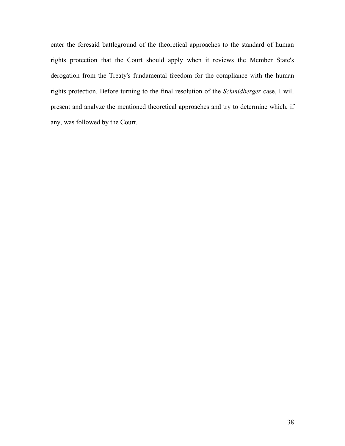enter the foresaid battleground of the theoretical approaches to the standard of human rights protection that the Court should apply when it reviews the Member State's derogation from the Treaty's fundamental freedom for the compliance with the human rights protection. Before turning to the final resolution of the *Schmidberger* case, I will present and analyze the mentioned theoretical approaches and try to determine which, if any, was followed by the Court.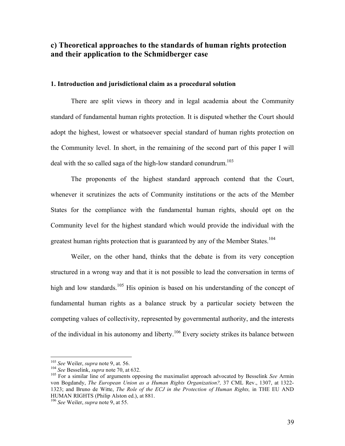# **c) Theoretical approaches to the standards of human rights protection and their application to the Schmidberger case**

### **1. Introduction and jurisdictional claim as a procedural solution**

There are split views in theory and in legal academia about the Community standard of fundamental human rights protection. It is disputed whether the Court should adopt the highest, lowest or whatsoever special standard of human rights protection on the Community level. In short, in the remaining of the second part of this paper I will deal with the so called saga of the high-low standard conundrum.<sup>103</sup>

The proponents of the highest standard approach contend that the Court, whenever it scrutinizes the acts of Community institutions or the acts of the Member States for the compliance with the fundamental human rights, should opt on the Community level for the highest standard which would provide the individual with the greatest human rights protection that is guaranteed by any of the Member States.<sup>104</sup>

Weiler, on the other hand, thinks that the debate is from its very conception structured in a wrong way and that it is not possible to lead the conversation in terms of high and low standards.<sup>105</sup> His opinion is based on his understanding of the concept of fundamental human rights as a balance struck by a particular society between the competing values of collectivity, represented by governmental authority, and the interests of the individual in his autonomy and liberty.<sup>106</sup> Every society strikes its balance between

<sup>&</sup>lt;sup>103</sup> *See* Weiler, *supra* note 9, at. 56.<br><sup>104</sup> *See* Besselink, *supra* note 70, at 632.<br><sup>105</sup> For a similar line of arguments opposing the maximalist approach advocated by Besselink *See* Armin von Bogdandy, *The European Union as a Human Rights Organization?,* 37 CML Rev., 1307, at 1322- 1323; and Bruno de Witte, *The Role of the ECJ in the Protection of Human Rights,* in THE EU AND HUMAN RIGHTS (Philip Alston ed.), at 881. <sup>106</sup> *See* Weiler, *supra* note 9, at 55.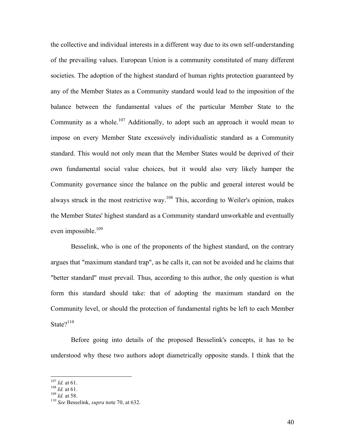the collective and individual interests in a different way due to its own self-understanding of the prevailing values. European Union is a community constituted of many different societies. The adoption of the highest standard of human rights protection guaranteed by any of the Member States as a Community standard would lead to the imposition of the balance between the fundamental values of the particular Member State to the Community as a whole.<sup>107</sup> Additionally, to adopt such an approach it would mean to impose on every Member State excessively individualistic standard as a Community standard. This would not only mean that the Member States would be deprived of their own fundamental social value choices, but it would also very likely hamper the Community governance since the balance on the public and general interest would be always struck in the most restrictive way.<sup>108</sup> This, according to Weiler's opinion, makes the Member States' highest standard as a Community standard unworkable and eventually even impossible. 109

Besselink, who is one of the proponents of the highest standard, on the contrary argues that "maximum standard trap", as he calls it, can not be avoided and he claims that "better standard" must prevail. Thus, according to this author, the only question is what form this standard should take: that of adopting the maximum standard on the Community level, or should the protection of fundamental rights be left to each Member State $?$ <sup>110</sup>

Before going into details of the proposed Besselink's concepts, it has to be understood why these two authors adopt diametrically opposite stands. I think that the

<sup>107</sup> *Id.* at 61. <sup>108</sup> *Id.* at 61. <sup>109</sup> *Id.* at 58. <sup>110</sup> *See* Besselink, *supra* note 70, at 632.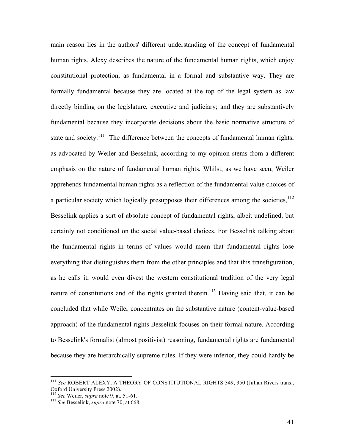main reason lies in the authors' different understanding of the concept of fundamental human rights. Alexy describes the nature of the fundamental human rights, which enjoy constitutional protection, as fundamental in a formal and substantive way. They are formally fundamental because they are located at the top of the legal system as law directly binding on the legislature, executive and judiciary; and they are substantively fundamental because they incorporate decisions about the basic normative structure of state and society.<sup>111</sup> The difference between the concepts of fundamental human rights, as advocated by Weiler and Besselink, according to my opinion stems from a different emphasis on the nature of fundamental human rights. Whilst, as we have seen, Weiler apprehends fundamental human rights as a reflection of the fundamental value choices of a particular society which logically presupposes their differences among the societies,  $\frac{112}{12}$ Besselink applies a sort of absolute concept of fundamental rights, albeit undefined, but certainly not conditioned on the social value-based choices. For Besselink talking about the fundamental rights in terms of values would mean that fundamental rights lose everything that distinguishes them from the other principles and that this transfiguration, as he calls it, would even divest the western constitutional tradition of the very legal nature of constitutions and of the rights granted therein.<sup>113</sup> Having said that, it can be concluded that while Weiler concentrates on the substantive nature (content-value-based approach) of the fundamental rights Besselink focuses on their formal nature. According to Besselink's formalist (almost positivist) reasoning, fundamental rights are fundamental because they are hierarchically supreme rules. If they were inferior, they could hardly be

<sup>&</sup>lt;sup>111</sup> See ROBERT ALEXY, A THEORY OF CONSTITUTIONAL RIGHTS 349, 350 (Julian Rivers trans., Oxford University Press 2002).

<sup>&</sup>lt;sup>112</sup> *See* Weiler, *supra* note 9, at. 51-61.<br><sup>113</sup> *See* Besselink, *supra* note 70, at 668.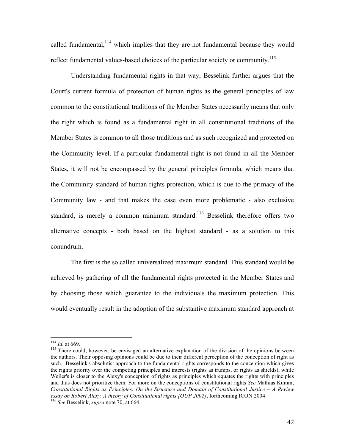called fundamental,  $114$  which implies that they are not fundamental because they would reflect fundamental values-based choices of the particular society or community.<sup>115</sup>

Understanding fundamental rights in that way, Besselink further argues that the Court's current formula of protection of human rights as the general principles of law common to the constitutional traditions of the Member States necessarily means that only the right which is found as a fundamental right in all constitutional traditions of the Member States is common to all those traditions and as such recognized and protected on the Community level. If a particular fundamental right is not found in all the Member States, it will not be encompassed by the general principles formula, which means that the Community standard of human rights protection, which is due to the primacy of the Community law - and that makes the case even more problematic - also exclusive standard, is merely a common minimum standard.<sup>116</sup> Besselink therefore offers two alternative concepts - both based on the highest standard - as a solution to this conundrum.

The first is the so called universalized maximum standard. This standard would be achieved by gathering of all the fundamental rights protected in the Member States and by choosing those which guarantee to the individuals the maximum protection. This would eventually result in the adoption of the substantive maximum standard approach at

<sup>&</sup>lt;sup>114</sup> *Id.* at 669.<br><sup>115</sup> There could, however, be envisaged an alternative explanation of the division of the opinions between the authors. Their opposing opinions could be due to their different perception of the conception of right as such. Besselink's absolutist approach to the fundamental rights corresponds to the conception which gives the rights priority over the competing principles and interests (rights as trumps, or rights as shields), while Weiler's is closer to the Alexy's conception of rights as principles which equates the rights with principles and thus does not prioritize them. For more on the conceptions of constitutional rights *See* Mathias Kumm, *Constitutional Rights as Principles: On the Structure and Domain of Constitutional Justice – A Review essay on Robert Alexy, <sup>A</sup> theory of Constitutional rights [OUP 2002]*, forthcoming ICON 2004. <sup>116</sup> *See* Besselink, *supra* note 70, at 664.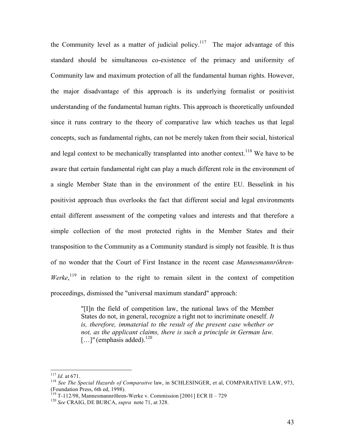the Community level as a matter of judicial policy.<sup>117</sup> The major advantage of this standard should be simultaneous co-existence of the primacy and uniformity of Community law and maximum protection of all the fundamental human rights. However, the major disadvantage of this approach is its underlying formalist or positivist understanding of the fundamental human rights. This approach is theoretically unfounded since it runs contrary to the theory of comparative law which teaches us that legal concepts, such as fundamental rights, can not be merely taken from their social, historical and legal context to be mechanically transplanted into another context.<sup>118</sup> We have to be aware that certain fundamental right can play a much different role in the environment of a single Member State than in the environment of the entire EU. Besselink in his positivist approach thus overlooks the fact that different social and legal environments entail different assessment of the competing values and interests and that therefore a simple collection of the most protected rights in the Member States and their transposition to the Community as a Community standard is simply not feasible. It is thus of no wonder that the Court of First Instance in the recent case *Mannesmannröhren-Werke*,<sup>119</sup> in relation to the right to remain silent in the context of competition proceedings, dismissed the "universal maximum standard" approach:

> "[I]n the field of competition law, the national laws of the Member States do not, in general, recognize a right not to incriminate oneself. *It is, therefore, immaterial to the result of the present case whether or not, as the applicant claims, there is such a principle in German law.*  $\left[ \ldots \right]$ " (emphasis added).<sup>120</sup>

<sup>117</sup> *Id.* at 671. <sup>118</sup> *See The Special Hazards of Comparative* law, in SCHLESINGER, et al, COMPARATIVE LAW, 973, (Foundation Press, 6th ed, 1998). <sup>119</sup> T-112/98, Mannesmannröhren-Werke v. Commission [2001] ECR II – <sup>729</sup> <sup>120</sup> *See* CRAIG, DE BURCA, *supra* note 71, at 328.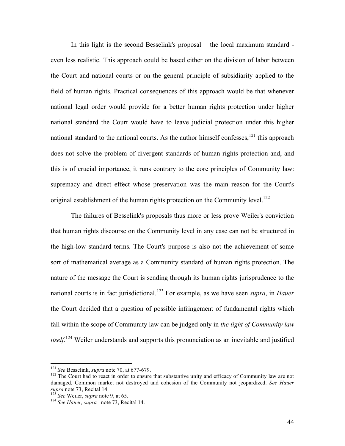In this light is the second Besselink's proposal – the local maximum standard even less realistic. This approach could be based either on the division of labor between the Court and national courts or on the general principle of subsidiarity applied to the field of human rights. Practical consequences of this approach would be that whenever national legal order would provide for a better human rights protection under higher national standard the Court would have to leave judicial protection under this higher national standard to the national courts. As the author himself confesses,<sup>121</sup> this approach does not solve the problem of divergent standards of human rights protection and, and this is of crucial importance, it runs contrary to the core principles of Community law: supremacy and direct effect whose preservation was the main reason for the Court's original establishment of the human rights protection on the Community level.<sup>122</sup>

The failures of Besselink's proposals thus more or less prove Weiler's conviction that human rights discourse on the Community level in any case can not be structured in the high-low standard terms. The Court's purpose is also not the achievement of some sort of mathematical average as a Community standard of human rights protection. The nature of the message the Court is sending through its human rights jurisprudence to the national courts is in fact jurisdictional. <sup>123</sup> For example, as we have seen *supra*, in *Hauer* the Court decided that a question of possible infringement of fundamental rights which fall within the scope of Community law can be judged only in *the light of Community law itself.* <sup>124</sup> Weiler understands and supports this pronunciation as an inevitable and justified

<sup>&</sup>lt;sup>121</sup> *See* Besselink, *supra* note 70, at 677-679.<br><sup>122</sup> The Court had to react in order to ensure that substantive unity and efficacy of Community law are not damaged, Common market not destroyed and cohesion of the Community not jeopardized. *See Hauer supra* note 73, Recital 14. <sup>123</sup> *See* Weiler, *supra* note 9, at 65. <sup>124</sup> *See Hauer, supra* note 73, Recital 14.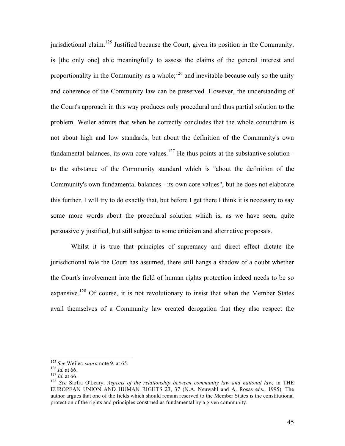jurisdictional claim.<sup>125</sup> Justified because the Court, given its position in the Community, is [the only one] able meaningfully to assess the claims of the general interest and proportionality in the Community as a whole;  $126$  and inevitable because only so the unity and coherence of the Community law can be preserved. However, the understanding of the Court's approach in this way produces only procedural and thus partial solution to the problem. Weiler admits that when he correctly concludes that the whole conundrum is not about high and low standards, but about the definition of the Community's own fundamental balances, its own core values.<sup>127</sup> He thus points at the substantive solution to the substance of the Community standard which is "about the definition of the Community's own fundamental balances - its own core values", but he does not elaborate this further. I will try to do exactly that, but before I get there I think it is necessary to say some more words about the procedural solution which is, as we have seen, quite persuasively justified, but still subject to some criticism and alternative proposals.

Whilst it is true that principles of supremacy and direct effect dictate the jurisdictional role the Court has assumed, there still hangs a shadow of a doubt whether the Court's involvement into the field of human rights protection indeed needs to be so expansive.<sup>128</sup> Of course, it is not revolutionary to insist that when the Member States avail themselves of a Community law created derogation that they also respect the

<sup>&</sup>lt;sup>125</sup> See Weiler, supra note 9, at 65.<br><sup>126</sup> Id. at 66.<br><sup>127</sup> Id. at 66.<br><sup>127</sup> See Siofra O'Leary, *Aspects of the relationship between community law and national law, in THE* EUROPEAN UNION AND HUMAN RIGHTS 23, 37 (N.A. Neuwahl and A. Rosas eds., 1995). The author argues that one of the fields which should remain reserved to the Member States is the constitutional protection of the rights and principles construed as fundamental by a given community.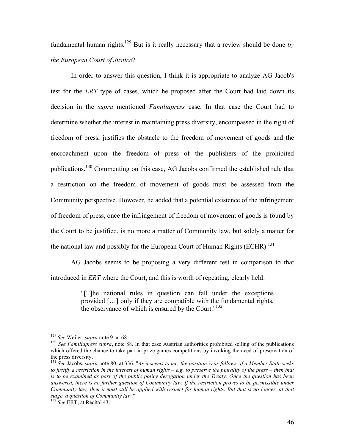fundamental human rights. <sup>129</sup> But is it really necessary that a review should be done *by the European Court of Justice*?

In order to answer this question, I think it is appropriate to analyze AG Jacob's test for the *ERT* type of cases, which he proposed after the Court had laid down its decision in the *supra* mentioned *Familiapress* case. In that case the Court had to determine whether the interest in maintaining press diversity, encompassed in the right of freedom of press, justifies the obstacle to the freedom of movement of goods and the encroachment upon the freedom of press of the publishers of the prohibited publications.<sup>130</sup> Commenting on this case, AG Jacobs confirmed the established rule that a restriction on the freedom of movement of goods must be assessed from the Community perspective. However, he added that a potential existence of the infringement of freedom of press, once the infringement of freedom of movement of goods is found by the Court to be justified, is no more a matter of Community law, but solely a matter for the national law and possibly for the European Court of Human Rights (ECHR).<sup>131</sup>

AG Jacobs seems to be proposing a very different test in comparison to that introduced in *ERT* where the Court, and this is worth of repeating, clearly held:

> "[T]he national rules in question can fall under the exceptions provided […] only if they are compatible with the fundamental rights, the observance of which is ensured by the Court."<sup>132</sup>

<sup>&</sup>lt;sup>129</sup> *See* Weiler, *supra* note 9, at 68.<br><sup>130</sup> *See Familiapress supra*, note 88. In that case Austrian authorities prohibited selling of the publications which offered the chance to take part in prize games competitions by invoking the need of preservation of the press diversity.<br><sup>131</sup> See Jacobs, *supra* note 80, at.336. "As it seems to me, the position is as follows: if a Member State seeks

to justify a restriction in the interest of human rights  $-e.g.$  to preserve the plurality of the press – then that is to be examined as part of the public policy derogation under the Treaty. Once the question has been answered, there is no further question of Community law. If the restriction proves to be permissible under Community law, then it must still be applied with respect for human rights. But that is no longer, at that *stage, <sup>a</sup> question of Community law*." <sup>132</sup> *See* ERT, at Recital 43.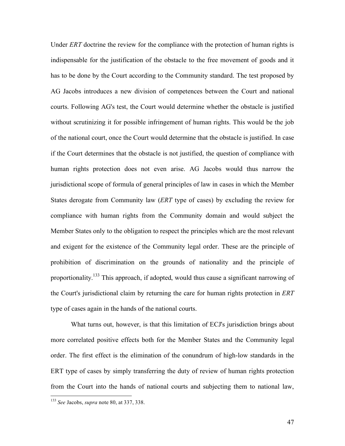Under *ERT* doctrine the review for the compliance with the protection of human rights is indispensable for the justification of the obstacle to the free movement of goods and it has to be done by the Court according to the Community standard. The test proposed by AG Jacobs introduces a new division of competences between the Court and national courts. Following AG's test, the Court would determine whether the obstacle is justified without scrutinizing it for possible infringement of human rights. This would be the job of the national court, once the Court would determine that the obstacle is justified. In case if the Court determines that the obstacle is not justified, the question of compliance with human rights protection does not even arise. AG Jacobs would thus narrow the jurisdictional scope of formula of general principles of law in cases in which the Member States derogate from Community law (*ERT* type of cases) by excluding the review for compliance with human rights from the Community domain and would subject the Member States only to the obligation to respect the principles which are the most relevant and exigent for the existence of the Community legal order. These are the principle of prohibition of discrimination on the grounds of nationality and the principle of proportionality.<sup>133</sup> This approach, if adopted, would thus cause a significant narrowing of the Court's jurisdictional claim by returning the care for human rights protection in *ERT* type of cases again in the hands of the national courts.

What turns out, however, is that this limitation of ECJ's jurisdiction brings about more correlated positive effects both for the Member States and the Community legal order. The first effect is the elimination of the conundrum of high-low standards in the ERT type of cases by simply transferring the duty of review of human rights protection from the Court into the hands of national courts and subjecting them to national law,

 <sup>133</sup> *See* Jacobs, *supra* note 80, at 337, 338.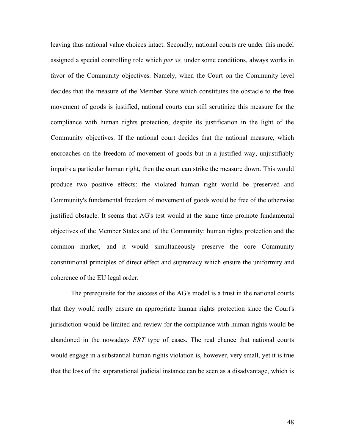leaving thus national value choices intact. Secondly, national courts are under this model assigned a special controlling role which *per se,* under some conditions, always works in favor of the Community objectives. Namely, when the Court on the Community level decides that the measure of the Member State which constitutes the obstacle to the free movement of goods is justified, national courts can still scrutinize this measure for the compliance with human rights protection, despite its justification in the light of the Community objectives. If the national court decides that the national measure, which encroaches on the freedom of movement of goods but in a justified way, unjustifiably impairs a particular human right, then the court can strike the measure down. This would produce two positive effects: the violated human right would be preserved and Community's fundamental freedom of movement of goods would be free of the otherwise justified obstacle. It seems that AG's test would at the same time promote fundamental objectives of the Member States and of the Community: human rights protection and the common market, and it would simultaneously preserve the core Community constitutional principles of direct effect and supremacy which ensure the uniformity and coherence of the EU legal order.

The prerequisite for the success of the AG's model is a trust in the national courts that they would really ensure an appropriate human rights protection since the Court's jurisdiction would be limited and review for the compliance with human rights would be abandoned in the nowadays *ERT* type of cases. The real chance that national courts would engage in a substantial human rights violation is, however, very small, yet it is true that the loss of the supranational judicial instance can be seen as a disadvantage, which is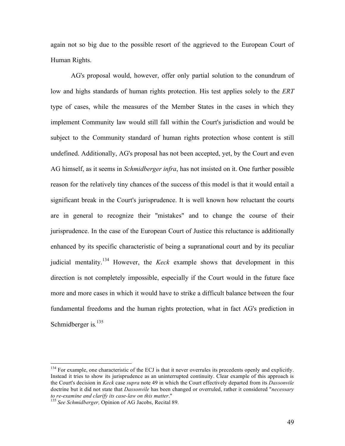again not so big due to the possible resort of the aggrieved to the European Court of Human Rights.

AG's proposal would, however, offer only partial solution to the conundrum of low and highs standards of human rights protection. His test applies solely to the *ERT* type of cases, while the measures of the Member States in the cases in which they implement Community law would still fall within the Court's jurisdiction and would be subject to the Community standard of human rights protection whose content is still undefined. Additionally, AG's proposal has not been accepted, yet, by the Court and even AG himself, as it seems in *Schmidberger infra*, has not insisted on it. One further possible reason for the relatively tiny chances of the success of this model is that it would entail a significant break in the Court's jurisprudence. It is well known how reluctant the courts are in general to recognize their "mistakes" and to change the course of their jurisprudence. In the case of the European Court of Justice this reluctance is additionally enhanced by its specific characteristic of being a supranational court and by its peculiar judicial mentality. <sup>134</sup> However, the *Keck* example shows that development in this direction is not completely impossible, especially if the Court would in the future face more and more cases in which it would have to strike a difficult balance between the four fundamental freedoms and the human rights protection, what in fact AG's prediction in Schmidberger is*.* 135

<sup>&</sup>lt;sup>134</sup> For example, one characteristic of the ECJ is that it never overrules its precedents openly and explicitly. Instead it tries to show its jurisprudence as an uninterrupted continuity. Clear example of this approach is the Court's decision in *Keck* case *supra* note 49 in which the Court effectively departed from its *Dassonvile* doctrine but it did not state that *Dassonvile* has been changed or overruled, rather it considered "*necessary to re-examine and clarify its case-law on this matter*." <sup>135</sup> *See Schmidberger,* Opinion of AG Jacobs, Recital 89.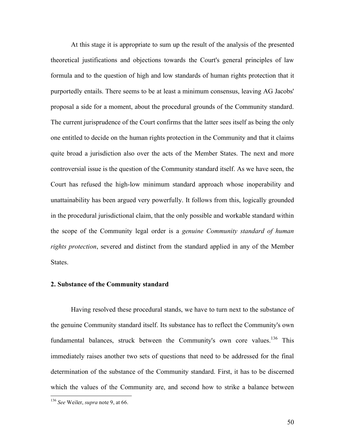At this stage it is appropriate to sum up the result of the analysis of the presented theoretical justifications and objections towards the Court's general principles of law formula and to the question of high and low standards of human rights protection that it purportedly entails. There seems to be at least a minimum consensus, leaving AG Jacobs' proposal a side for a moment, about the procedural grounds of the Community standard. The current jurisprudence of the Court confirms that the latter sees itself as being the only one entitled to decide on the human rights protection in the Community and that it claims quite broad a jurisdiction also over the acts of the Member States. The next and more controversial issue is the question of the Community standard itself. As we have seen, the Court has refused the high-low minimum standard approach whose inoperability and unattainability has been argued very powerfully. It follows from this, logically grounded in the procedural jurisdictional claim, that the only possible and workable standard within the scope of the Community legal order is a *genuine Community standard of human rights protection*, severed and distinct from the standard applied in any of the Member States.

### **2. Substance of the Community standard**

Having resolved these procedural stands, we have to turn next to the substance of the genuine Community standard itself. Its substance has to reflect the Community's own fundamental balances, struck between the Community's own core values.<sup>136</sup> This immediately raises another two sets of questions that need to be addressed for the final determination of the substance of the Community standard. First, it has to be discerned which the values of the Community are, and second how to strike a balance between

 <sup>136</sup> *See* Weiler, *supra* note 9, at 66.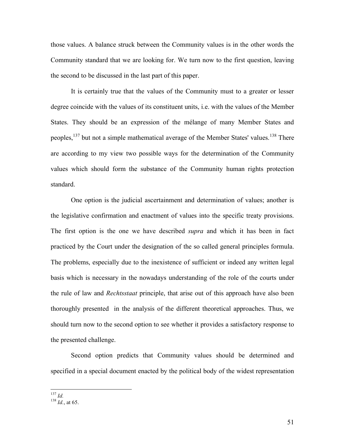those values. A balance struck between the Community values is in the other words the Community standard that we are looking for. We turn now to the first question, leaving the second to be discussed in the last part of this paper.

It is certainly true that the values of the Community must to a greater or lesser degree coincide with the values of its constituent units, i.e. with the values of the Member States. They should be an expression of the mélange of many Member States and peoples, <sup>137</sup> but not a simple mathematical average of the Member States' values. <sup>138</sup> There are according to my view two possible ways for the determination of the Community values which should form the substance of the Community human rights protection standard.

One option is the judicial ascertainment and determination of values; another is the legislative confirmation and enactment of values into the specific treaty provisions. The first option is the one we have described *supra* and which it has been in fact practiced by the Court under the designation of the so called general principles formula. The problems, especially due to the inexistence of sufficient or indeed any written legal basis which is necessary in the nowadays understanding of the role of the courts under the rule of law and *Rechtsstaat* principle, that arise out of this approach have also been thoroughly presented in the analysis of the different theoretical approaches. Thus, we should turn now to the second option to see whether it provides a satisfactory response to the presented challenge.

Second option predicts that Community values should be determined and specified in a special document enacted by the political body of the widest representation

<sup>137</sup> *Id.* <sup>138</sup> *Id.*, at 65.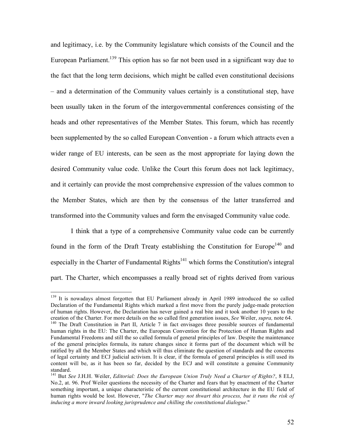and legitimacy, i.e. by the Community legislature which consists of the Council and the European Parliament.<sup>139</sup> This option has so far not been used in a significant way due to the fact that the long term decisions, which might be called even constitutional decisions – and a determination of the Community values certainly is a constitutional step, have been usually taken in the forum of the intergovernmental conferences consisting of the heads and other representatives of the Member States. This forum, which has recently been supplemented by the so called European Convention - a forum which attracts even a wider range of EU interests, can be seen as the most appropriate for laying down the desired Community value code. Unlike the Court this forum does not lack legitimacy, and it certainly can provide the most comprehensive expression of the values common to the Member States, which are then by the consensus of the latter transferred and transformed into the Community values and form the envisaged Community value code.

I think that a type of a comprehensive Community value code can be currently found in the form of the Draft Treaty establishing the Constitution for Europe<sup>140</sup> and especially in the Charter of Fundamental Rights<sup>141</sup> which forms the Constitution's integral part. The Charter, which encompasses a really broad set of rights derived from various

<sup>&</sup>lt;sup>139</sup> It is nowadavs almost forgotten that EU Parliament already in April 1989 introduced the so called Declaration of the Fundamental Rights which marked a first move from the purely judge-made protection of human rights. However, the Declaration has never gained a real bite and it took another 10 years to the creation of the Charter. For more details on the so called first generation issues, See Weiler, supra, note 64.<br><sup>140</sup> The Draft Constitution in Part II, Article 7 in fact envisages three possible sources of fundamental human rights in the EU: The Charter, the European Convention for the Protection of Human Rights and Fundamental Freedoms and still the so called formula of general principles of law. Despite the maintenance of the general principles formula, its nature changes since it forms part of the document which will be ratified by all the Member States and which will thus eliminate the question of standards and the concerns of legal certainty and ECJ judicial activism. It is clear, if the formula of general principles is still used its content will be, as it has been so far, decided by the ECJ and will constitute a genuine Community

standard. <sup>141</sup> But *See* J.H.H. Weiler, *Editorial: Does the European Union Truly Need <sup>a</sup> Charter of Rights?*, <sup>8</sup> ELJ, No.2, at. 96. Prof Weiler questions the necessity of the Charter and fears that by enactment of the Charter something important, a unique characteristic of the current constitutional architecture in the EU field of human rights would be lost. However, "*The Charter may not thwart this process, but it runs the risk of inducing a more inward looking jurisprudence and chilling the constitutional dialogue*."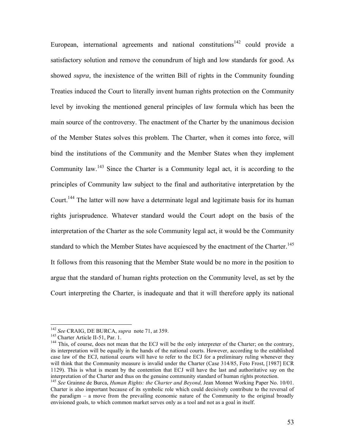European, international agreements and national constitutions<sup>142</sup> could provide a satisfactory solution and remove the conundrum of high and low standards for good. As showed *supra*, the inexistence of the written Bill of rights in the Community founding Treaties induced the Court to literally invent human rights protection on the Community level by invoking the mentioned general principles of law formula which has been the main source of the controversy. The enactment of the Charter by the unanimous decision of the Member States solves this problem. The Charter, when it comes into force, will bind the institutions of the Community and the Member States when they implement Community law.<sup>143</sup> Since the Charter is a Community legal act, it is according to the principles of Community law subject to the final and authoritative interpretation by the Court.<sup>144</sup> The latter will now have a determinate legal and legitimate basis for its human rights jurisprudence. Whatever standard would the Court adopt on the basis of the interpretation of the Charter as the sole Community legal act, it would be the Community standard to which the Member States have acquiesced by the enactment of the Charter.<sup>145</sup> It follows from this reasoning that the Member State would be no more in the position to argue that the standard of human rights protection on the Community level, as set by the Court interpreting the Charter, is inadequate and that it will therefore apply its national

<sup>&</sup>lt;sup>142</sup> *See* CRAIG, DE BURCA, *supra* note 71, at 359.<br><sup>143</sup> Charter Article II-51, Par. 1.<br><sup>144</sup> This, of course, does not mean that the ECJ will be the only interpreter of the Charter; on the contrary, its interpretation will be equally in the hands of the national courts. However, according to the established case law of the ECJ, national courts will have to refer to the ECJ for a preliminary ruling whenever they will think that the Community measure is invalid under the Charter (Case 314/85, Foto Frost, [1987] ECR 1129). This is what is meant by the contention that ECJ will have the last and authoritative say on the interpretation of the Charter and thus on the genuine community standard of human rights protection.<br><sup>145</sup> See Grainne de Burca, *Human Rights: the Charter and Beyond*, Jean Monnet Working Paper No. 10/01.

Charter is also important because of its symbolic role which could decisively contribute to the reversal of the paradigm – a move from the prevailing economic nature of the Community to the original broadly envisioned goals, to which common market serves only as a tool and not as a goal in itself.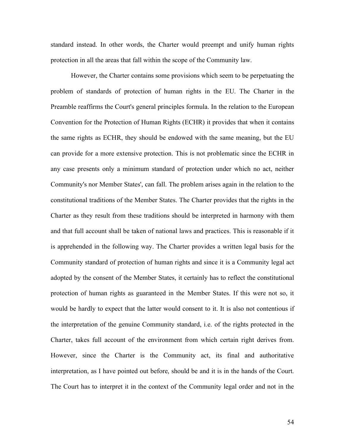standard instead. In other words, the Charter would preempt and unify human rights protection in all the areas that fall within the scope of the Community law.

However, the Charter contains some provisions which seem to be perpetuating the problem of standards of protection of human rights in the EU. The Charter in the Preamble reaffirms the Court's general principles formula. In the relation to the European Convention for the Protection of Human Rights (ECHR) it provides that when it contains the same rights as ECHR, they should be endowed with the same meaning, but the EU can provide for a more extensive protection. This is not problematic since the ECHR in any case presents only a minimum standard of protection under which no act, neither Community's nor Member States', can fall. The problem arises again in the relation to the constitutional traditions of the Member States. The Charter provides that the rights in the Charter as they result from these traditions should be interpreted in harmony with them and that full account shall be taken of national laws and practices. This is reasonable if it is apprehended in the following way. The Charter provides a written legal basis for the Community standard of protection of human rights and since it is a Community legal act adopted by the consent of the Member States, it certainly has to reflect the constitutional protection of human rights as guaranteed in the Member States. If this were not so, it would be hardly to expect that the latter would consent to it. It is also not contentious if the interpretation of the genuine Community standard, i.e. of the rights protected in the Charter, takes full account of the environment from which certain right derives from. However, since the Charter is the Community act, its final and authoritative interpretation, as I have pointed out before, should be and it is in the hands of the Court. The Court has to interpret it in the context of the Community legal order and not in the

54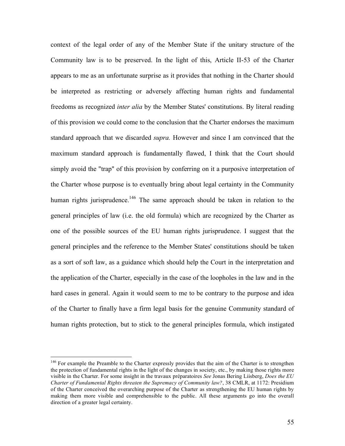context of the legal order of any of the Member State if the unitary structure of the Community law is to be preserved. In the light of this, Article II-53 of the Charter appears to me as an unfortunate surprise as it provides that nothing in the Charter should be interpreted as restricting or adversely affecting human rights and fundamental freedoms as recognized *inter alia* by the Member States' constitutions. By literal reading of this provision we could come to the conclusion that the Charter endorses the maximum standard approach that we discarded *supra.* However and since I am convinced that the maximum standard approach is fundamentally flawed, I think that the Court should simply avoid the "trap" of this provision by conferring on it a purposive interpretation of the Charter whose purpose is to eventually bring about legal certainty in the Community human rights jurisprudence.<sup>146</sup> The same approach should be taken in relation to the general principles of law (i.e. the old formula) which are recognized by the Charter as one of the possible sources of the EU human rights jurisprudence. I suggest that the general principles and the reference to the Member States' constitutions should be taken as a sort of soft law, as a guidance which should help the Court in the interpretation and the application of the Charter, especially in the case of the loopholes in the law and in the hard cases in general. Again it would seem to me to be contrary to the purpose and idea of the Charter to finally have a firm legal basis for the genuine Community standard of human rights protection, but to stick to the general principles formula, which instigated

<sup>&</sup>lt;sup>146</sup> For example the Preamble to the Charter expressly provides that the aim of the Charter is to strengthen the protection of fundamental rights in the light of the changes in society, etc., by making those rights more visible in the Charter. For some insight in the travaux préparatoires *See* Jonas Bering Liisberg, *Does the EU Charter of Fundamental Rights threaten the Supremacy of Community law?*, 38 CMLR, at 1172: Presidium of the Charter conceived the overarching purpose of the Charter as strengthening the EU human rights by making them more visible and comprehensible to the public. All these arguments go into the overall direction of a greater legal certainty.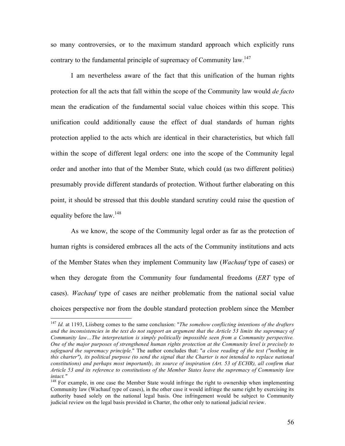so many controversies, or to the maximum standard approach which explicitly runs contrary to the fundamental principle of supremacy of Community law.<sup>147</sup>

I am nevertheless aware of the fact that this unification of the human rights protection for all the acts that fall within the scope of the Community law would *de facto* mean the eradication of the fundamental social value choices within this scope. This unification could additionally cause the effect of dual standards of human rights protection applied to the acts which are identical in their characteristics, but which fall within the scope of different legal orders: one into the scope of the Community legal order and another into that of the Member State, which could (as two different polities) presumably provide different standards of protection. Without further elaborating on this point, it should be stressed that this double standard scrutiny could raise the question of equality before the law.<sup>148</sup>

As we know, the scope of the Community legal order as far as the protection of human rights is considered embraces all the acts of the Community institutions and acts of the Member States when they implement Community law (*Wachauf* type of cases) or when they derogate from the Community four fundamental freedoms (*ERT* type of cases). *Wachauf* type of cases are neither problematic from the national social value choices perspective nor from the double standard protection problem since the Member

 <sup>147</sup> *Id.* at 1193, Liisberg comes to the same conclusion: "*The somehow conflicting intentions of the drafters* and the inconsistencies in the text do not support an argument that the Article 53 limits the supremacy of *Community law…The interpretation is simply politically impossible seen from a Community perspective. One of the major purposes of strengthened human rights protection at the Community level is precisely to safeguard the supremacy principle.*" The author concludes that: "*a close reading of the text ("nothing in* this charter"), its political purpose (to send the signal that the Charter is not intended to replace national *constitutions) and perhaps most importantly, its source of inspiration (Art. 53 of ECHR), all confirm that Article 53 and its reference to constitutions of the Member States leave the supremacy of Community law intact."*<br><sup>148</sup> For example, in one case the Member State would infringe the right to ownership when implementing

Community law (Wachauf type of cases), in the other case it would infringe the same right by exercising its authority based solely on the national legal basis. One infringement would be subject to Community judicial review on the legal basis provided in Charter, the other only to national judicial review.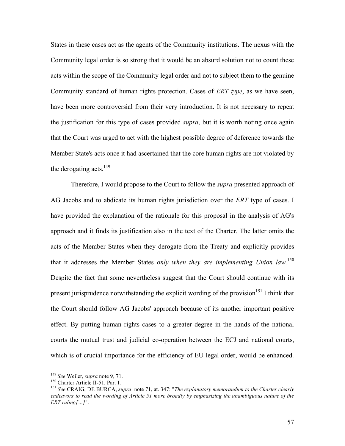States in these cases act as the agents of the Community institutions. The nexus with the Community legal order is so strong that it would be an absurd solution not to count these acts within the scope of the Community legal order and not to subject them to the genuine Community standard of human rights protection. Cases of *ERT type*, as we have seen, have been more controversial from their very introduction. It is not necessary to repeat the justification for this type of cases provided *supra*, but it is worth noting once again that the Court was urged to act with the highest possible degree of deference towards the Member State's acts once it had ascertained that the core human rights are not violated by the derogating acts. $149$ 

Therefore, I would propose to the Court to follow the *supra* presented approach of AG Jacobs and to abdicate its human rights jurisdiction over the *ERT* type of cases. I have provided the explanation of the rationale for this proposal in the analysis of AG's approach and it finds its justification also in the text of the Charter. The latter omits the acts of the Member States when they derogate from the Treaty and explicitly provides that it addresses the Member States *only when they are implementing Union law.* 150 Despite the fact that some nevertheless suggest that the Court should continue with its present jurisprudence notwithstanding the explicit wording of the provision<sup>151</sup> I think that the Court should follow AG Jacobs' approach because of its another important positive effect. By putting human rights cases to a greater degree in the hands of the national courts the mutual trust and judicial co-operation between the ECJ and national courts, which is of crucial importance for the efficiency of EU legal order, would be enhanced.

<sup>&</sup>lt;sup>149</sup> See Weiler, *supra* note 9, 71.<br><sup>150</sup> Charter Article II-51, Par. 1.<br><sup>151</sup> See CRAIG, DE BURCA, *supra* note 71, at. 347: "*The explanatory memorandum to the Charter clearly endeavors to read the wording of Article 51 more broadly by emphasizing the unambiguous nature of the ERT ruling[…]*".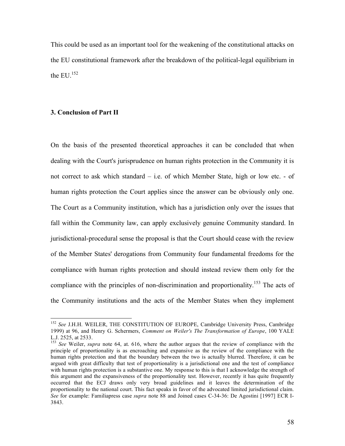This could be used as an important tool for the weakening of the constitutional attacks on the EU constitutional framework after the breakdown of the political-legal equilibrium in the EU. $^{152}$ 

#### **3. Conclusion of Part II**

On the basis of the presented theoretical approaches it can be concluded that when dealing with the Court's jurisprudence on human rights protection in the Community it is not correct to ask which standard – i.e. of which Member State, high or low etc. - of human rights protection the Court applies since the answer can be obviously only one. The Court as a Community institution, which has a jurisdiction only over the issues that fall within the Community law, can apply exclusively genuine Community standard. In jurisdictional-procedural sense the proposal is that the Court should cease with the review of the Member States' derogations from Community four fundamental freedoms for the compliance with human rights protection and should instead review them only for the compliance with the principles of non-discrimination and proportionality.<sup>153</sup> The acts of the Community institutions and the acts of the Member States when they implement

 <sup>152</sup> *See* J.H.H. WEILER, THE CONSTITUTION OF EUROPE, Cambridge University Press, Cambridge 1999) at 96, and Henry G. Schermers, *Comment on Weiler's The Transformation of Europe*, 100 YALE L.J. 2525, at 2533.<br><sup>153</sup> *See* Weiler, *supra* note 64, at. 616, where the author argues that the review of compliance with the

principle of proportionality is as encroaching and expansive as the review of the compliance with the human rights protection and that the boundary between the two is actually blurred. Therefore, it can be argued with great difficulty that test of proportionality is a jurisdictional one and the test of compliance with human rights protection is a substantive one. My response to this is that I acknowledge the strength of this argument and the expansiveness of the proportionality test. However, recently it has quite frequently occurred that the ECJ draws only very broad guidelines and it leaves the determination of the proportionality to the national court. This fact speaks in favor of the advocated limited jurisdictional claim. *See* for example: Familiapress case *supra* note 88 and Joined cases C-34-36: De Agostini [1997] ECR I-3843.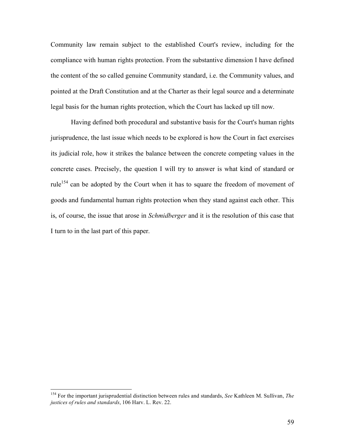Community law remain subject to the established Court's review, including for the compliance with human rights protection. From the substantive dimension I have defined the content of the so called genuine Community standard, i.e. the Community values, and pointed at the Draft Constitution and at the Charter as their legal source and a determinate legal basis for the human rights protection, which the Court has lacked up till now.

Having defined both procedural and substantive basis for the Court's human rights jurisprudence, the last issue which needs to be explored is how the Court in fact exercises its judicial role, how it strikes the balance between the concrete competing values in the concrete cases. Precisely, the question I will try to answer is what kind of standard or rule<sup>154</sup> can be adopted by the Court when it has to square the freedom of movement of goods and fundamental human rights protection when they stand against each other. This is, of course, the issue that arose in *Schmidberger* and it is the resolution of this case that I turn to in the last part of this paper.

 <sup>154</sup> For the important jurisprudential distinction between rules and standards, *See* Kathleen M. Sullivan, *The justices of rules and standards*, 106 Harv. L. Rev. 22.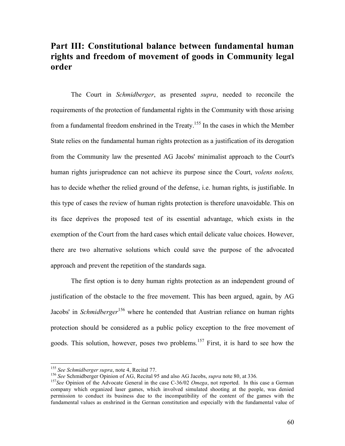# **Part III: Constitutional balance between fundamental human rights and freedom of movement of goods in Community legal order**

The Court in *Schmidberger*, as presented *supra*, needed to reconcile the requirements of the protection of fundamental rights in the Community with those arising from a fundamental freedom enshrined in the Treaty.<sup>155</sup> In the cases in which the Member State relies on the fundamental human rights protection as a justification of its derogation from the Community law the presented AG Jacobs' minimalist approach to the Court's human rights jurisprudence can not achieve its purpose since the Court, *volens nolens,* has to decide whether the relied ground of the defense, i.e. human rights, is justifiable. In this type of cases the review of human rights protection is therefore unavoidable. This on its face deprives the proposed test of its essential advantage, which exists in the exemption of the Court from the hard cases which entail delicate value choices. However, there are two alternative solutions which could save the purpose of the advocated approach and prevent the repetition of the standards saga.

The first option is to deny human rights protection as an independent ground of justification of the obstacle to the free movement. This has been argued, again, by AG Jacobs' in *Schmidberger* 156 where he contended that Austrian reliance on human rights protection should be considered as a public policy exception to the free movement of goods. This solution, however, poses two problems.<sup>157</sup> First, it is hard to see how the

<sup>&</sup>lt;sup>155</sup> *See Schmidberger supra*, note 4, Recital 77.<br><sup>156</sup> *See Schmidberger Opinion of AG*, Recital 95 and also AG Jacobs, *supra* note 80, at 336.

<sup>&</sup>lt;sup>157</sup>See Opinion of the Advocate General in the case C-36/02 *Omega*, not reported. In this case a German company which organized laser games, which involved simulated shooting at the people, was denied permission to conduct its business due to the incompatibility of the content of the games with the fundamental values as enshrined in the German constitution and especially with the fundamental value of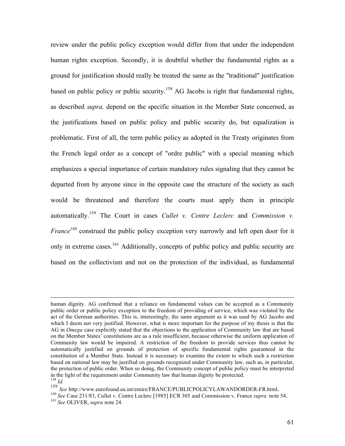review under the public policy exception would differ from that under the independent human rights exception. Secondly, it is doubtful whether the fundamental rights as a ground for justification should really be treated the same as the "traditional" justification based on public policy or public security.<sup>158</sup> AG Jacobs is right that fundamental rights, as described *supra,* depend on the specific situation in the Member State concerned, as the justifications based on public policy and public security do, but equalization is problematic. First of all, the term public policy as adopted in the Treaty originates from the French legal order as a concept of "ordre public" with a special meaning which emphasizes a special importance of certain mandatory rules signaling that they cannot be departed from by anyone since in the opposite case the structure of the society as such would be threatened and therefore the courts must apply them in principle automatically. <sup>159</sup> The Court in cases *Cullet v. Centre Leclerc* and *Commission v. France*<sup>160</sup> construed the public policy exception very narrowly and left open door for it only in extreme cases.<sup>161</sup> Additionally, concepts of public policy and public security are based on the collectivism and not on the protection of the individual, as fundamental

human dignity. AG confirmed that <sup>a</sup> reliance on fundamental values can be accepted as <sup>a</sup> Community public order or public policy exception to the freedom of providing of service, which was violated by the act of the German authorities. This is, interestingly, the same argument as it was used by AG Jacobs and which I deem not very justified. However, what is more important for the purpose of my thesis is that the AG in *Omega* case explicitly stated that the objections to the application of Community law that are based on the Member States' constitutions are as a rule insufficient, because otherwise the uniform application of Community law would be impaired. A restriction of the freedom to provide services thus cannot be automatically justified on grounds of protection of specific fundamental rights guaranteed in the constitution of a Member State. Instead it is necessary to examine the extent to which such a restriction based on national law may be justified on grounds recognized under Community law, such as, in particular, the protection of public order. When so doing, the Community concept of public policy must be interpreted in the light of the requirement under Community law that human dignity be protected.

<sup>&</sup>lt;sup>159</sup> *Id.*<br><sup>159</sup> *See* http://www.eurofound.eu.int/emire/FRANCE/PUBLICPOLICYLAWANDORDER-FR.html.<br><sup>160</sup> *See* Case 231/83, Cullet v. Centre Leclerc [1985] ECR 305 and Commission v. France *supra* note 54.<br><sup>161</sup> *See* OLIV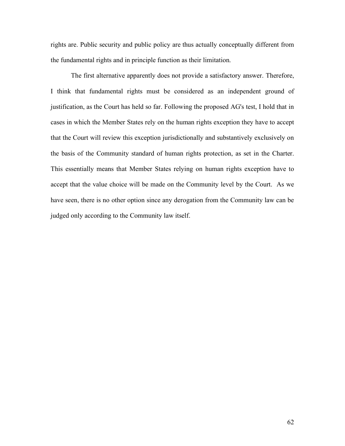rights are. Public security and public policy are thus actually conceptually different from the fundamental rights and in principle function as their limitation.

The first alternative apparently does not provide a satisfactory answer. Therefore, I think that fundamental rights must be considered as an independent ground of justification, as the Court has held so far. Following the proposed AG's test, I hold that in cases in which the Member States rely on the human rights exception they have to accept that the Court will review this exception jurisdictionally and substantively exclusively on the basis of the Community standard of human rights protection, as set in the Charter. This essentially means that Member States relying on human rights exception have to accept that the value choice will be made on the Community level by the Court. As we have seen, there is no other option since any derogation from the Community law can be judged only according to the Community law itself.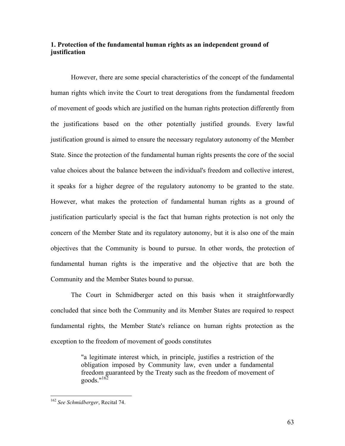# **1. Protection of the fundamental human rights as an independent ground of justification**

However, there are some special characteristics of the concept of the fundamental human rights which invite the Court to treat derogations from the fundamental freedom of movement of goods which are justified on the human rights protection differently from the justifications based on the other potentially justified grounds. Every lawful justification ground is aimed to ensure the necessary regulatory autonomy of the Member State. Since the protection of the fundamental human rights presents the core of the social value choices about the balance between the individual's freedom and collective interest, it speaks for a higher degree of the regulatory autonomy to be granted to the state. However, what makes the protection of fundamental human rights as a ground of justification particularly special is the fact that human rights protection is not only the concern of the Member State and its regulatory autonomy, but it is also one of the main objectives that the Community is bound to pursue. In other words, the protection of fundamental human rights is the imperative and the objective that are both the Community and the Member States bound to pursue.

The Court in Schmidberger acted on this basis when it straightforwardly concluded that since both the Community and its Member States are required to respect fundamental rights, the Member State's reliance on human rights protection as the exception to the freedom of movement of goods constitutes

> "a legitimate interest which, in principle, justifies a restriction of the obligation imposed by Community law, even under a fundamental freedom guaranteed by the Treaty such as the freedom of movement of goods." 162

 <sup>162</sup> *See Schmidberger*, Recital 74.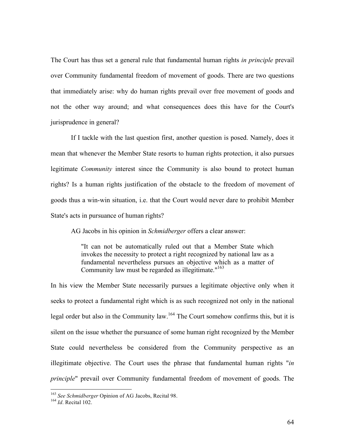The Court has thus set a general rule that fundamental human rights *in principle* prevail over Community fundamental freedom of movement of goods. There are two questions that immediately arise: why do human rights prevail over free movement of goods and not the other way around; and what consequences does this have for the Court's jurisprudence in general?

If I tackle with the last question first, another question is posed. Namely, does it mean that whenever the Member State resorts to human rights protection, it also pursues legitimate *Community* interest since the Community is also bound to protect human rights? Is a human rights justification of the obstacle to the freedom of movement of goods thus a win-win situation, i.e. that the Court would never dare to prohibit Member State's acts in pursuance of human rights?

AG Jacobs in his opinion in *Schmidberger* offers a clear answer:

"It can not be automatically ruled out that a Member State which invokes the necessity to protect a right recognized by national law as a fundamental nevertheless pursues an objective which as a matter of Community law must be regarded as illegitimate."<sup>163</sup>

In his view the Member State necessarily pursues a legitimate objective only when it seeks to protect a fundamental right which is as such recognized not only in the national legal order but also in the Community law.<sup>164</sup> The Court somehow confirms this, but it is silent on the issue whether the pursuance of some human right recognized by the Member State could nevertheless be considered from the Community perspective as an illegitimate objective. The Court uses the phrase that fundamental human rights "*in principle*" prevail over Community fundamental freedom of movement of goods. The

<sup>163</sup> *See Schmidberger* Opinion of AG Jacobs, Recital 98. <sup>164</sup> *Id*. Recital 102.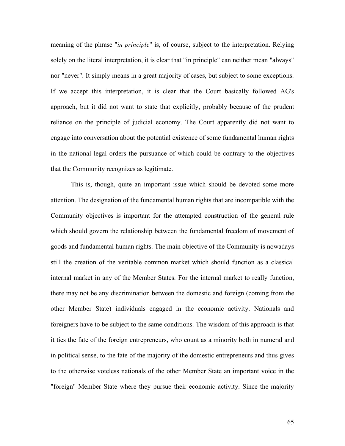meaning of the phrase "*in principle*" is, of course, subject to the interpretation. Relying solely on the literal interpretation, it is clear that "in principle" can neither mean "always" nor "never". It simply means in a great majority of cases, but subject to some exceptions. If we accept this interpretation, it is clear that the Court basically followed AG's approach, but it did not want to state that explicitly, probably because of the prudent reliance on the principle of judicial economy. The Court apparently did not want to engage into conversation about the potential existence of some fundamental human rights in the national legal orders the pursuance of which could be contrary to the objectives that the Community recognizes as legitimate.

This is, though, quite an important issue which should be devoted some more attention. The designation of the fundamental human rights that are incompatible with the Community objectives is important for the attempted construction of the general rule which should govern the relationship between the fundamental freedom of movement of goods and fundamental human rights. The main objective of the Community is nowadays still the creation of the veritable common market which should function as a classical internal market in any of the Member States. For the internal market to really function, there may not be any discrimination between the domestic and foreign (coming from the other Member State) individuals engaged in the economic activity. Nationals and foreigners have to be subject to the same conditions. The wisdom of this approach is that it ties the fate of the foreign entrepreneurs, who count as a minority both in numeral and in political sense, to the fate of the majority of the domestic entrepreneurs and thus gives to the otherwise voteless nationals of the other Member State an important voice in the "foreign" Member State where they pursue their economic activity. Since the majority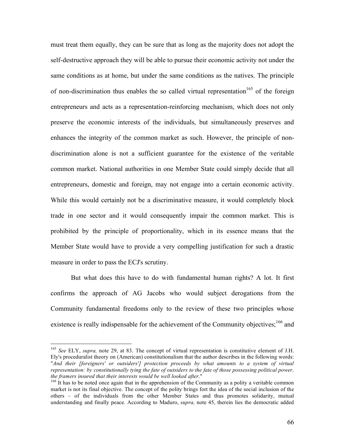must treat them equally, they can be sure that as long as the majority does not adopt the self-destructive approach they will be able to pursue their economic activity not under the same conditions as at home, but under the same conditions as the natives. The principle of non-discrimination thus enables the so called virtual representation<sup>165</sup> of the foreign entrepreneurs and acts as a representation-reinforcing mechanism, which does not only preserve the economic interests of the individuals, but simultaneously preserves and enhances the integrity of the common market as such. However, the principle of nondiscrimination alone is not a sufficient guarantee for the existence of the veritable common market. National authorities in one Member State could simply decide that all entrepreneurs, domestic and foreign, may not engage into a certain economic activity. While this would certainly not be a discriminative measure, it would completely block trade in one sector and it would consequently impair the common market. This is prohibited by the principle of proportionality, which in its essence means that the Member State would have to provide a very compelling justification for such a drastic measure in order to pass the ECJ's scrutiny.

But what does this have to do with fundamental human rights? A lot. It first confirms the approach of AG Jacobs who would subject derogations from the Community fundamental freedoms only to the review of these two principles whose existence is really indispensable for the achievement of the Community objectives;<sup>166</sup> and

 <sup>165</sup> *See* ELY, *supra,* note 29, at 83. The concept of virtual representation is constitutive element of J.H. Ely's proceduralist theory on (American) constitutionalism that the author describes in the following words: "*And their [foreigners' or outsiders'] protection proceeds by what amounts to a system of virtual representation: by constitutionally tying the fate of outsiders to the fate of those possessing political power,* the framers insured that their interests would be well looked after."<br><sup>166</sup> It has to be noted once again that in the apprehension of the Community as a polity a veritable common

market is not its final objective. The concept of the polity brings fort the idea of the social inclusion of the others – of the individuals from the other Member States and thus promotes solidarity, mutual understanding and finally peace. According to Maduro, *supra,* note 45, therein lies the democratic added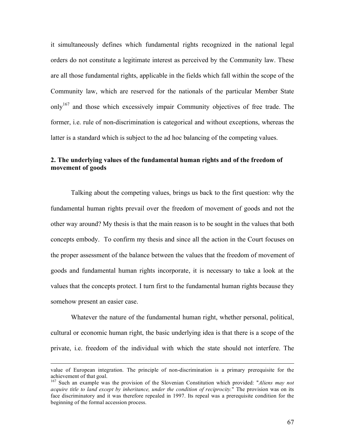it simultaneously defines which fundamental rights recognized in the national legal orders do not constitute a legitimate interest as perceived by the Community law. These are all those fundamental rights, applicable in the fields which fall within the scope of the Community law, which are reserved for the nationals of the particular Member State only<sup>167</sup> and those which excessively impair Community objectives of free trade. The former, i.e. rule of non-discrimination is categorical and without exceptions, whereas the latter is a standard which is subject to the ad hoc balancing of the competing values.

# **2. The underlying values of the fundamental human rights and of the freedom of movement of goods**

Talking about the competing values, brings us back to the first question: why the fundamental human rights prevail over the freedom of movement of goods and not the other way around? My thesis is that the main reason is to be sought in the values that both concepts embody. To confirm my thesis and since all the action in the Court focuses on the proper assessment of the balance between the values that the freedom of movement of goods and fundamental human rights incorporate, it is necessary to take a look at the values that the concepts protect. I turn first to the fundamental human rights because they somehow present an easier case.

Whatever the nature of the fundamental human right, whether personal, political, cultural or economic human right, the basic underlying idea is that there is a scope of the private, i.e. freedom of the individual with which the state should not interfere. The

value of European integration. The principle of non-discrimination is <sup>a</sup> primary prerequisite for the achievement of that goal. <sup>167</sup> Such an example was the provision of the Slovenian Constitution which provided: "*Aliens may not*

*acquire title to land except by inheritance, under the condition of reciprocity.*" The provision was on its face discriminatory and it was therefore repealed in 1997. Its repeal was a prerequisite condition for the beginning of the formal accession process.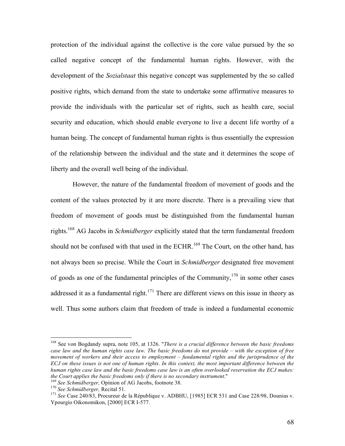protection of the individual against the collective is the core value pursued by the so called negative concept of the fundamental human rights. However, with the development of the *Sozialstaat* this negative concept was supplemented by the so called positive rights, which demand from the state to undertake some affirmative measures to provide the individuals with the particular set of rights, such as health care, social security and education, which should enable everyone to live a decent life worthy of a human being. The concept of fundamental human rights is thus essentially the expression of the relationship between the individual and the state and it determines the scope of liberty and the overall well being of the individual.

However, the nature of the fundamental freedom of movement of goods and the content of the values protected by it are more discrete. There is a prevailing view that freedom of movement of goods must be distinguished from the fundamental human rights. <sup>168</sup> AG Jacobs in *Schmidberger* explicitly stated that the term fundamental freedom should not be confused with that used in the ECHR.<sup>169</sup> The Court, on the other hand, has not always been so precise. While the Court in *Schmidberger* designated free movement of goods as one of the fundamental principles of the Community,  $170$  in some other cases addressed it as a fundamental right.<sup>171</sup> There are different views on this issue in theory as well. Thus some authors claim that freedom of trade is indeed a fundamental economic

 <sup>168</sup> See von Bogdandy supra, note 105, at 1326. "*There is <sup>a</sup> crucial difference between the basic freedoms* case law and the human rights case law. The basic freedoms do not provide  $-$  with the exception of free *movement of workers and their access to employment – fundamental rights and the jurisprudence of the* ECJ on these issues is not one of human rights. In this context, the most important difference between the human rights case law and the basic freedoms case law is an often overlooked reservation the ECJ makes: the Court applies the basic freedoms only if there is no secondary instrument."<br>
<sup>169</sup> See Schmidberger, Opinion of AG Jacobs, footnote 38.<br>
<sup>170</sup> See Schmidberger, Recital 51.<br>
<sup>171</sup> See Case 240/83, Procureur de la Répub

Ypourgio Oikonomikon, [2000] ECR I-577.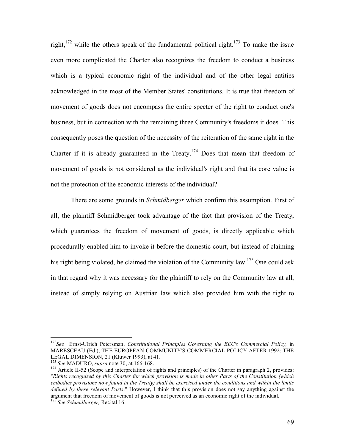right,<sup>172</sup> while the others speak of the fundamental political right.<sup>173</sup> To make the issue even more complicated the Charter also recognizes the freedom to conduct a business which is a typical economic right of the individual and of the other legal entities acknowledged in the most of the Member States' constitutions. It is true that freedom of movement of goods does not encompass the entire specter of the right to conduct one's business, but in connection with the remaining three Community's freedoms it does. This consequently poses the question of the necessity of the reiteration of the same right in the Charter if it is already guaranteed in the Treaty.<sup>174</sup> Does that mean that freedom of movement of goods is not considered as the individual's right and that its core value is not the protection of the economic interests of the individual?

There are some grounds in *Schmidberger* which confirm this assumption. First of all, the plaintiff Schmidberger took advantage of the fact that provision of the Treaty, which guarantees the freedom of movement of goods, is directly applicable which procedurally enabled him to invoke it before the domestic court, but instead of claiming his right being violated, he claimed the violation of the Community law.<sup>175</sup> One could ask in that regard why it was necessary for the plaintiff to rely on the Community law at all, instead of simply relying on Austrian law which also provided him with the right to

 <sup>172</sup> *See* Ernst-Ulrich Petersman, *Constitutional Principles Governing the EEC's Commercial Policy,* in MARESCEAU (Ed.), THE EUROPEAN COMMUNITY'S COMMERCIAL POLICY AFTER 1992: THE LEGAL DIMENSION, 21 (Kluwer 1993), at 41.

<sup>&</sup>lt;sup>173</sup> *See* MADURO, *supra* note 30, at 166-168.<br><sup>174</sup> Article II-52 (Scope and interpretation of rights and principles) of the Charter in paragraph 2, provides: "*Rights recognized by this Charter for which provision is made in other Parts of the Constitution (which* embodies provisions now found in the Treaty) shall be exercised under the conditions and within the limits *defined by these relevant Parts*." However, I think that this provision does not say anything against the argument that freedom of movement of goods is not perceived as an economic right of the individual. <sup>175</sup> *See Schmidberger,* Recital 16.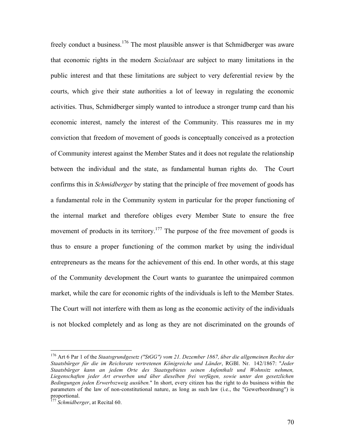freely conduct a business.<sup>176</sup> The most plausible answer is that Schmidberger was aware that economic rights in the modern *Sozialstaat* are subject to many limitations in the public interest and that these limitations are subject to very deferential review by the courts, which give their state authorities a lot of leeway in regulating the economic activities. Thus, Schmidberger simply wanted to introduce a stronger trump card than his economic interest, namely the interest of the Community. This reassures me in my conviction that freedom of movement of goods is conceptually conceived as a protection of Community interest against the Member States and it does not regulate the relationship between the individual and the state, as fundamental human rights do. The Court confirms this in *Schmidberger* by stating that the principle of free movement of goods has a fundamental role in the Community system in particular for the proper functioning of the internal market and therefore obliges every Member State to ensure the free movement of products in its territory.<sup>177</sup> The purpose of the free movement of goods is thus to ensure a proper functioning of the common market by using the individual entrepreneurs as the means for the achievement of this end. In other words, at this stage of the Community development the Court wants to guarantee the unimpaired common market, while the care for economic rights of the individuals is left to the Member States. The Court will not interfere with them as long as the economic activity of the individuals is not blocked completely and as long as they are not discriminated on the grounds of

 <sup>176</sup> Art <sup>6</sup> Par <sup>1</sup> of the *Staatsgrundgesetz ("StGG") vom 21. Dezember 1867, über die allgemeinen Rechte der Staatsbürger für die im Reichsrate vertretenen Königreiche und Länder*, RGBl. Nr. 142/1867: "*Jeder Staatsbürger kann an jedem Orte des Staatsgebietes seinen Aufenthalt und Wohnsitz nehmen, Liegenschaften jeder Art erwerben und über dieselben frei verfügen, sowie unter den gesetzlichen Bedingungen jeden Erwerbszweig ausüben.*" In short, every citizen has the right to do business within the parameters of the law of non-constitutional nature, as long as such law (i.e., the "Gewerbeordnung") is proportional. <sup>177</sup> *Schmidberger*, at Recital 60.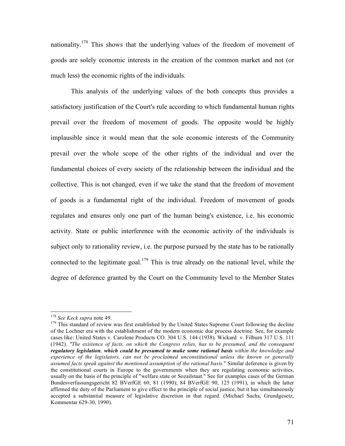nationality.<sup>178</sup> This shows that the underlying values of the freedom of movement of goods are solely economic interests in the creation of the common market and not (or much less) the economic rights of the individuals.

This analysis of the underlying values of the both concepts thus provides a satisfactory justification of the Court's rule according to which fundamental human rights prevail over the freedom of movement of goods. The opposite would be highly implausible since it would mean that the sole economic interests of the Community prevail over the whole scope of the other rights of the individual and over the fundamental choices of every society of the relationship between the individual and the collective. This is not changed, even if we take the stand that the freedom of movement of goods is a fundamental right of the individual. Freedom of movement of goods regulates and ensures only one part of the human being's existence, i.e. his economic activity. State or public interference with the economic activity of the individuals is subject only to rationality review, i.e. the purpose pursued by the state has to be rationally connected to the legitimate goal.<sup>179</sup> This is true already on the national level, while the degree of deference granted by the Court on the Community level to the Member States

<sup>&</sup>lt;sup>178</sup> *See Keck supra* note 49.<br><sup>179</sup> This standard of review was first established by the United States Supreme Court following the decline of the Lochner era with the establishment of the modern economic due process doctrine. See, for example cases like: United States v. Carolene Products CO. 304 U.S. 144 (1938)*,* Wickard v. Filburn 317 U.S. 111 (1942)*. "The existence of facts, on which the Congress relies, has to be presumed, and the consequent regulatory legislation, which could be presumed to make some rational basis within the knowledge and experience of the legislators, can not be proclaimed unconstitutional unless the known or generally assumed facts speak against the mentioned assumption of the rational basis.*" Similar deference is given by the constitutional courts in Europe to the governments when they are regulating economic activities, usually on the basis of the principle of "welfare state or Sozailstaat." See for examples cases of the German Bundesverfassungsgericht 82 BVerfGE 60, 81 (1990); 84 BVerfGE 90, 125 (1991), in which the latter affirmed the duty of the Parliament to give effect to the principle of social justice, but it has simultaneously accepted a substantial measure of legislative discretion in that regard. (Michael Sachs, Grundgesetz, Kommentar 629-30, 1990).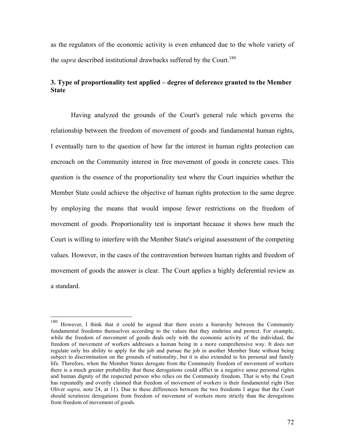as the regulators of the economic activity is even enhanced due to the whole variety of the *supra* described institutional drawbacks suffered by the Court. 180

### **3. Type of proportionality test applied – degree of deference granted to the Member State**

Having analyzed the grounds of the Court's general rule which governs the relationship between the freedom of movement of goods and fundamental human rights, I eventually turn to the question of how far the interest in human rights protection can encroach on the Community interest in free movement of goods in concrete cases. This question is the essence of the proportionality test where the Court inquiries whether the Member State could achieve the objective of human rights protection to the same degree by employing the means that would impose fewer restrictions on the freedom of movement of goods. Proportionality test is important because it shows how much the Court is willing to interfere with the Member State's original assessment of the competing values. However, in the cases of the contravention between human rights and freedom of movement of goods the answer is clear. The Court applies a highly deferential review as a standard.

 <sup>180</sup> However, <sup>I</sup> think that it could be argued that there exists <sup>a</sup> hierarchy between the Community fundamental freedoms themselves according to the values that they enshrine and protect. For example, while the freedom of movement of goods deals only with the economic activity of the individual, the freedom of movement of workers addresses a human being in a more comprehensive way. It does not regulate only his ability to apply for the job and pursue the job in another Member State without being subject to discrimination on the grounds of nationality, but it is also extended to his personal and family life. Therefore, when the Member States derogate from the Community freedom of movement of workers there is a much greater probability that these derogations could afflict in a negative sense personal rights and human dignity of the respected person who relies on the Community freedom. That is why the Court has repeatedly and overtly claimed that freedom of movement of workers is their fundamental right (See Oliver *supra,* note 24, at 11). Due to these differences between the two freedoms I argue that the Court should scrutinize derogations from freedom of movement of workers more strictly than the derogations from freedom of movement of goods.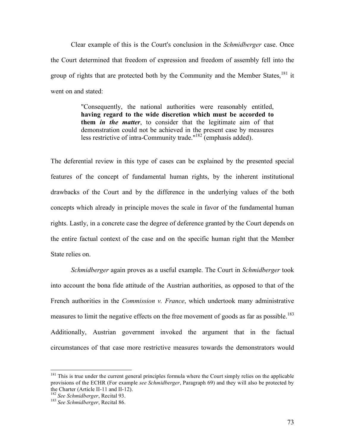Clear example of this is the Court's conclusion in the *Schmidberger* case. Once the Court determined that freedom of expression and freedom of assembly fell into the group of rights that are protected both by the Community and the Member States, <sup>181</sup> it went on and stated:

> "Consequently, the national authorities were reasonably entitled, **having regard to the wide discretion which must be accorded to them** *in the matter*, to consider that the legitimate aim of that demonstration could not be achieved in the present case by measures less restrictive of intra-Community trade."<sup>182</sup> (emphasis added).

The deferential review in this type of cases can be explained by the presented special features of the concept of fundamental human rights, by the inherent institutional drawbacks of the Court and by the difference in the underlying values of the both concepts which already in principle moves the scale in favor of the fundamental human rights. Lastly, in a concrete case the degree of deference granted by the Court depends on the entire factual context of the case and on the specific human right that the Member State relies on.

*Schmidberger* again proves as a useful example. The Court in *Schmidberger* took into account the bona fide attitude of the Austrian authorities, as opposed to that of the French authorities in the *Commission v. France*, which undertook many administrative measures to limit the negative effects on the free movement of goods as far as possible.<sup>183</sup> Additionally, Austrian government invoked the argument that in the factual circumstances of that case more restrictive measures towards the demonstrators would

<sup>&</sup>lt;sup>181</sup> This is true under the current general principles formula where the Court simply relies on the applicable provisions of the ECHR (For example *see Schmidberger*, Paragraph 69) and they will also be protected by

<sup>&</sup>lt;sup>182</sup> See *Schmidberger*, Recital 93.<br><sup>183</sup> *See Schmidberger*, Recital 86.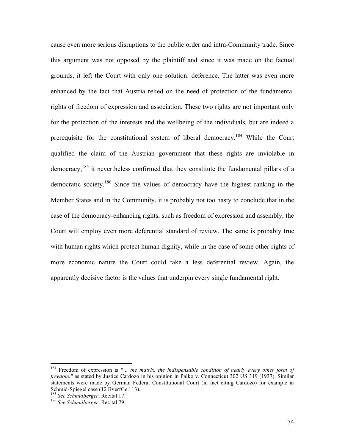cause even more serious disruptions to the public order and intra-Community trade. Since this argument was not opposed by the plaintiff and since it was made on the factual grounds, it left the Court with only one solution: deference. The latter was even more enhanced by the fact that Austria relied on the need of protection of the fundamental rights of freedom of expression and association. These two rights are not important only for the protection of the interests and the wellbeing of the individuals, but are indeed a prerequisite for the constitutional system of liberal democracy.<sup>184</sup> While the Court qualified the claim of the Austrian government that these rights are inviolable in democracy,<sup>185</sup> it nevertheless confirmed that they constitute the fundamental pillars of a democratic society.<sup>186</sup> Since the values of democracy have the highest ranking in the Member States and in the Community, it is probably not too hasty to conclude that in the case of the democracy-enhancing rights, such as freedom of expression and assembly, the Court will employ even more deferential standard of review. The same is probably true with human rights which protect human dignity, while in the case of some other rights of more economic nature the Court could take a less deferential review. Again, the apparently decisive factor is the values that underpin every single fundamental right.

 <sup>184</sup> Freedom of expression is *"… the matrix, the indispensable condition of nearly every other form of freedom."* as stated by Justice Cardozo in his opinion in Palko v. Connecticut 302 US 319 (1937). Similar statements were made by German Federal Constitutional Court (in fact citing Cardozo) for example in Schmid-Spiegel case (12 BverfGe 113).

<sup>&</sup>lt;sup>185</sup> See *Schmidberger*, Recital 17.<br><sup>186</sup> *See Schmidberger*, Recital 79.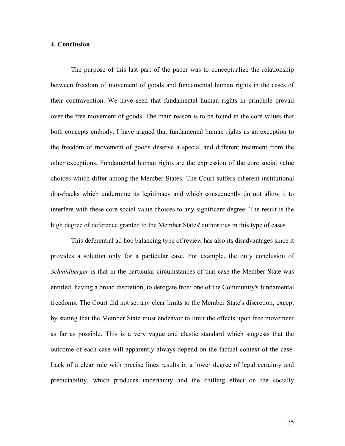#### **4. Conclusion**

The purpose of this last part of the paper was to conceptualize the relationship between freedom of movement of goods and fundamental human rights in the cases of their contravention. We have seen that fundamental human rights in principle prevail over the free movement of goods. The main reason is to be found in the core values that both concepts embody. I have argued that fundamental human rights as an exception to the freedom of movement of goods deserve a special and different treatment from the other exceptions. Fundamental human rights are the expression of the core social value choices which differ among the Member States. The Court suffers inherent institutional drawbacks which undermine its legitimacy and which consequently do not allow it to interfere with these core social value choices to any significant degree. The result is the high degree of deference granted to the Member States' authorities in this type of cases.

This deferential ad hoc balancing type of review has also its disadvantages since it provides a solution only for a particular case. For example, the only conclusion of *Schmidberger* is that in the particular circumstances of that case the Member State was entitled, having a broad discretion, to derogate from one of the Community's fundamental freedoms. The Court did not set any clear limits to the Member State's discretion, except by stating that the Member State must endeavor to limit the effects upon free movement as far as possible. This is a very vague and elastic standard which suggests that the outcome of each case will apparently always depend on the factual context of the case. Lack of a clear rule with precise lines results in a lower degree of legal certainty and predictability, which produces uncertainty and the chilling effect on the socially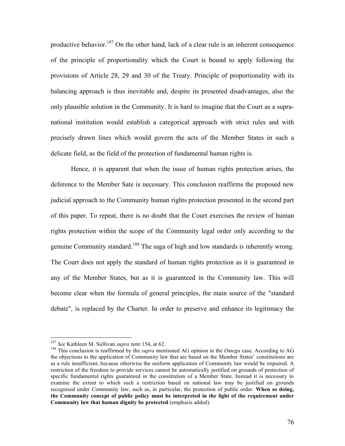productive behavior.<sup>187</sup> On the other hand, lack of a clear rule is an inherent consequence of the principle of proportionality which the Court is bound to apply following the provisions of Article 28, 29 and 30 of the Treaty. Principle of proportionality with its balancing approach is thus inevitable and, despite its presented disadvantages, also the only plausible solution in the Community. It is hard to imagine that the Court as a supranational institution would establish a categorical approach with strict rules and with precisely drawn lines which would govern the acts of the Member States in such a delicate field, as the field of the protection of fundamental human rights is.

Hence, it is apparent that when the issue of human rights protection arises, the deference to the Member Sate is necessary. This conclusion reaffirms the proposed new judicial approach to the Community human rights protection presented in the second part of this paper. To repeat, there is no doubt that the Court exercises the review of human rights protection within the scope of the Community legal order only according to the genuine Community standard.<sup>188</sup> The saga of high and low standards is inherently wrong. The Court does not apply the standard of human rights protection as it is guaranteed in any of the Member States, but as it is guaranteed in the Community law. This will become clear when the formula of general principles, the main source of the "standard debate", is replaced by the Charter. In order to preserve and enhance its legitimacy the

<sup>&</sup>lt;sup>187</sup> *See* Kathleen M. Sullivan *supra* note 154, at 62.<br><sup>188</sup> This conclusion is reaffirmed by the *supra* mentioned AG opinion in the *Omega* case. According to AG the objections to the application of Community law that are based on the Member States' constitutions are as a rule insufficient, because otherwise the uniform application of Community law would be impaired. A restriction of the freedom to provide services cannot be automatically justified on grounds of protection of specific fundamental rights guaranteed in the constitution of a Member State. Instead it is necessary to examine the extent to which such a restriction based on national law may be justified on grounds recognised under Community law, such as, in particular, the protection of public order. **When so doing, the Community concept of public policy must be interpreted in the light of the requirement under Community law that human dignity be protected** (emphasis added).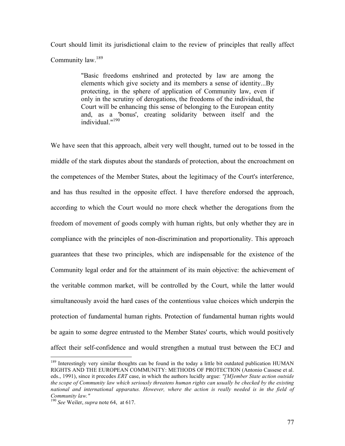Court should limit its jurisdictional claim to the review of principles that really affect Community law.<sup>189</sup>

> "Basic freedoms enshrined and protected by law are among the elements which give society and its members a sense of identity...By protecting, in the sphere of application of Community law, even if only in the scrutiny of derogations, the freedoms of the individual, the Court will be enhancing this sense of belonging to the European entity and, as a 'bonus', creating solidarity between itself and the individual." 190

We have seen that this approach, albeit very well thought, turned out to be tossed in the middle of the stark disputes about the standards of protection, about the encroachment on the competences of the Member States, about the legitimacy of the Court's interference, and has thus resulted in the opposite effect. I have therefore endorsed the approach, according to which the Court would no more check whether the derogations from the freedom of movement of goods comply with human rights, but only whether they are in compliance with the principles of non-discrimination and proportionality. This approach guarantees that these two principles, which are indispensable for the existence of the Community legal order and for the attainment of its main objective: the achievement of the veritable common market, will be controlled by the Court, while the latter would simultaneously avoid the hard cases of the contentious value choices which underpin the protection of fundamental human rights. Protection of fundamental human rights would be again to some degree entrusted to the Member States' courts, which would positively affect their self-confidence and would strengthen a mutual trust between the ECJ and

<sup>&</sup>lt;sup>189</sup> Interestingly very similar thoughts can be found in the today a little bit outdated publication HUMAN RIGHTS AND THE EUROPEAN COMMUNITY: METHODS OF PROTECTION (Antonio Cassese et al. eds., 1991), since it precedes *ERT* case, in which the authors lucidly argue: *"[M]ember State action outside the scope of Community law which seriously threatens human rights can usually be checked by the existing national and international apparatus. However, where the action is really needed is in the field of Community law."* <sup>190</sup> *See* Weiler, *supra* note 64, at 617.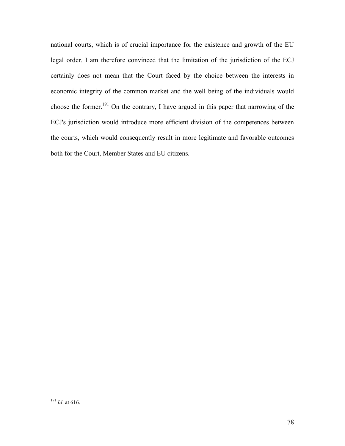national courts, which is of crucial importance for the existence and growth of the EU legal order. I am therefore convinced that the limitation of the jurisdiction of the ECJ certainly does not mean that the Court faced by the choice between the interests in economic integrity of the common market and the well being of the individuals would choose the former. <sup>191</sup> On the contrary, I have argued in this paper that narrowing of the ECJ's jurisdiction would introduce more efficient division of the competences between the courts, which would consequently result in more legitimate and favorable outcomes both for the Court, Member States and EU citizens.

 $\frac{191}{191}$  *Id.* at 616.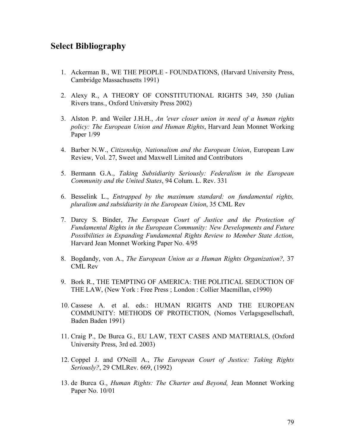## **Select Bibliography**

- 1. Ackerman B., WE THE PEOPLE FOUNDATIONS, (Harvard University Press, Cambridge Massachusetts 1991)
- 2. Alexy R., A THEORY OF CONSTITUTIONAL RIGHTS 349, 350 (Julian Rivers trans., Oxford University Press 2002)
- 3. Alston P. and Weiler J.H.H., *An 'ever closer union in need of a human rights policy: The European Union and Human Rights*, Harvard Jean Monnet Working Paper  $1/99$
- 4. Barber N.W., *Citizenship, Nationalism and the European Union*, European Law Review, Vol. 27, Sweet and Maxwell Limited and Contributors
- 5. Bermann G.A., *Taking Subsidiarity Seriously: Federalism in the European Community and the United States*, 94 Colum. L. Rev. 331
- 6. Besselink L., *Entrapped by the maximum standard: on fundamental rights, pluralism and subsidiarity in the European Union*, 35 CML Rev
- 7. Darcy S. Binder, *The European Court of Justice and the Protection of Fundamental Rights in the European Community: New Developments and Future Possibilities in Expanding Fundamental Rights Review to Member State Action,* Harvard Jean Monnet Working Paper No. 4/95
- 8. Bogdandy, von A., *The European Union as a Human Rights Organization?,* 37 CML Rev
- 9. Bork R., THE TEMPTING OF AMERICA: THE POLITICAL SEDUCTION OF THE LAW, (New York : Free Press ; London : Collier Macmillan, c1990)
- 10. Cassese A. et al. eds.: HUMAN RIGHTS AND THE EUROPEAN COMMUNITY: METHODS OF PROTECTION, (Nomos Verlagsgesellschaft, Baden Baden 1991)
- 11. Craig P., De Burca G., EU LAW, TEXT CASES AND MATERIALS, (Oxford University Press, 3rd ed. 2003)
- 12. Coppel J. and O'Neill A., *The European Court of Justice: Taking Rights Seriously?*, 29 CMLRev. 669, (1992)
- 13. de Burca G., *Human Rights: The Charter and Beyond,* Jean Monnet Working Paper No. 10/01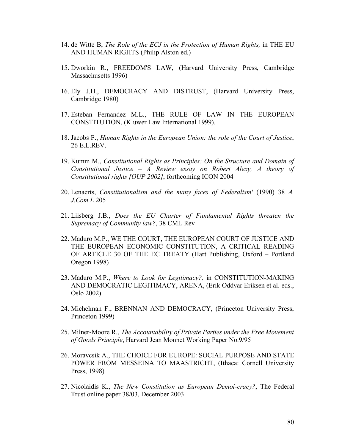- 14. de Witte B, *The Role of the ECJ in the Protection of Human Rights,* in THE EU AND HUMAN RIGHTS (Philip Alston ed.)
- 15. Dworkin R., FREEDOM'S LAW, (Harvard University Press, Cambridge Massachusetts 1996)
- 16. Ely J.H., DEMOCRACY AND DISTRUST, (Harvard University Press, Cambridge 1980)
- 17. Esteban Fernandez M.L., THE RULE OF LAW IN THE EUROPEAN CONSTITUTION, (Kluwer Law International 1999).
- 18. Jacobs F., *Human Rights in the European Union: the role of the Court of Justice*, 26 E.L.REV.
- 19. Kumm M., *Constitutional Rights as Principles: On the Structure and Domain of Constitutional Justice – A Review essay on Robert Alexy, A theory of Constitutional rights [OUP 2002]*, forthcoming ICON 2004
- 20. Lenaerts, *Constitutionalism and the many faces of Federalism'* (1990) 38 *A. J.Com.L* 205
- 21. Liisberg J.B., *Does the EU Charter of Fundamental Rights threaten the Supremacy of Community law?*, 38 CML Rev
- 22. Maduro M.P., WE THE COURT, THE EUROPEAN COURT OF JUSTICE AND THE EUROPEAN ECONOMIC CONSTITUTION, A CRITICAL READING OF ARTICLE 30 OF THE EC TREATY (Hart Publishing, Oxford – Portland Oregon 1998)
- 23. Maduro M.P., *Where to Look for Legitimacy?,* in CONSTITUTION-MAKING AND DEMOCRATIC LEGITIMACY, ARENA, (Erik Oddvar Eriksen et al. eds., Oslo 2002)
- 24. Michelman F., BRENNAN AND DEMOCRACY, (Princeton University Press, Princeton 1999)
- 25. Milner-Moore R., *The Accountability of Private Parties under the Free Movement of Goods Principle*, Harvard Jean Monnet Working Paper No.9/95
- 26. Moravcsik A., THE CHOICE FOR EUROPE: SOCIAL PURPOSE AND STATE POWER FROM MESSEINA TO MAASTRICHT, (Ithaca: Cornell University Press, 1998)
- 27. Nicolaidis K., *The New Constitution as European Demoi-cracy?*, The Federal Trust online paper 38/03, December 2003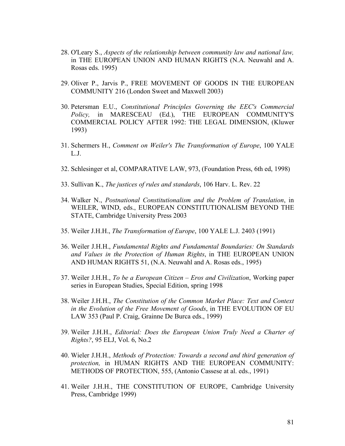- 28. O'Leary S., *Aspects of the relationship between community law and national law,* in THE EUROPEAN UNION AND HUMAN RIGHTS (N.A. Neuwahl and A. Rosas eds. 1995)
- 29. Oliver P., Jarvis P., FREE MOVEMENT OF GOODS IN THE EUROPEAN COMMUNITY 216 (London Sweet and Maxwell 2003)
- 30. Petersman E.U., *Constitutional Principles Governing the EEC's Commercial Policy,* in MARESCEAU (Ed.), THE EUROPEAN COMMUNITY'S COMMERCIAL POLICY AFTER 1992: THE LEGAL DIMENSION, (Kluwer 1993)
- 31. Schermers H., *Comment on Weiler's The Transformation of Europe*, 100 YALE L.J.
- 32. Schlesinger et al, COMPARATIVE LAW, 973, (Foundation Press, 6th ed, 1998)
- 33. Sullivan K., *The justices of rules and standards*, 106 Harv. L. Rev. 22
- 34. Walker N., *Postnational Constitutionalism and the Problem of Translation*, in WEILER, WIND, eds., EUROPEAN CONSTITUTIONALISM BEYOND THE STATE, Cambridge University Press 2003
- 35. Weiler J.H.H., *The Transformation of Europe*, 100 YALE L.J. 2403 (1991)
- 36. Weiler J.H.H., *Fundamental Rights and Fundamental Boundaries: On Standards and Values in the Protection of Human Rights*, in THE EUROPEAN UNION AND HUMAN RIGHTS 51, (N.A. Neuwahl and A. Rosas eds., 1995)
- 37. Weiler J.H.H., *To be a European Citizen – Eros and Civilization*, Working paper series in European Studies, Special Edition, spring 1998
- 38. Weiler J.H.H., *The Constitution of the Common Market Place: Text and Context in the Evolution of the Free Movement of Goods*, in THE EVOLUTION OF EU LAW 353 (Paul P. Craig, Grainne De Burca eds., 1999)
- 39. Weiler J.H.H., *Editorial: Does the European Union Truly Need a Charter of Rights?*, 95 ELJ, Vol. 6, No.2
- 40. Wieler J.H.H., *Methods of Protection: Towards a second and third generation of protection,* in HUMAN RIGHTS AND THE EUROPEAN COMMUNITY: METHODS OF PROTECTION, 555, (Antonio Cassese at al. eds., 1991)
- 41. Weiler J.H.H., THE CONSTITUTION OF EUROPE, Cambridge University Press, Cambridge 1999)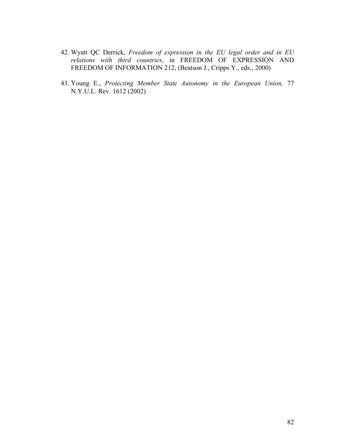- 42. Wyatt QC Derrick, *Freedom of expression in the EU legal order and in EU relations with third countries*, in FREEDOM OF EXPRESSION AND FREEDOM OF INFORMATION 212, (Beatson J., Cripps Y., eds., 2000)
- 43. Young E., *Protecting Member State Autonomy in the European Union,* 77 N.Y.U.L. Rev. 1612 (2002)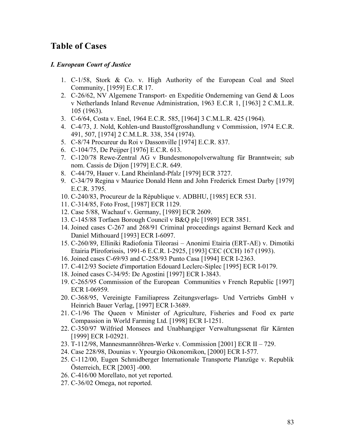# **Table of Cases**

#### *I. European Court of Justice*

- 1. C-1/58, Stork & Co. v. High Authority of the European Coal and Steel Community, [1959] E.C.R 17.
- 2. C-26/62, NV Algemene Transport- en Expeditie Onderneming van Gend & Loos v Netherlands Inland Revenue Administration, 1963 E.C.R 1, [1963] 2 C.M.L.R. 105 (1963).
- 3. C-6/64, Costa v. Enel, 1964 E.C.R. 585, [1964] 3 C.M.L.R. 425 (1964).
- 4. C-4/73, J. Nold, Kohlen-und Baustoffgrosshandlung v Commission, 1974 E.C.R. 491, 507, [1974] 2 C.M.L.R. 338, 354 (1974).
- 5. C-8/74 Procureur du Roi v Dassonville [1974] E.C.R. 837.
- 6. C-104/75, De Peijper [1976] E.C.R. 613.
- 7. C-120/78 Rewe-Zentral AG v Bundesmonopolverwaltung für Branntwein; sub nom. Cassis de Dijon [1979] E.C.R. 649.
- 8. C-44/79, Hauer v. Land Rheinland-Pfalz [1979] ECR 3727.
- 9. C-34/79 Regina v Maurice Donald Henn and John Frederick Ernest Darby [1979] E.C.R. 3795.
- 10. C-240/83, Procureur de la République v. ADBHU, [1985] ECR 531.
- 11. C-314/85, Foto Frost, [1987] ECR 1129.
- 12. Case 5/88, Wachauf v. Germany, [1989] ECR 2609.
- 13. C-145/88 Torfaen Borough Council v B&Q plc [1989] ECR 3851.
- 14. Joined cases C-267 and 268/91 Criminal proceedings against Bernard Keck and Daniel Mithouard [1993] ECR I-6097.
- 15. C-260/89, Elliniki Radiofonia Tileorasi Anonimi Etairia (ERT-AE) v. Dimotiki Etairia Pliroforissis, 1991-6 E.C.R. I-2925, [1993] CEC (CCH) 167 (1993).
- 16. Joined cases C-69/93 and C-258/93 Punto Casa [1994] ECR I-2363.
- 17. C-412/93 Societe d'importation Edouard Leclerc-Siplec [1995] ECR I-0179.
- 18. Joined cases C-34/95: De Agostini [1997] ECR I-3843.
- 19. C-265/95 Commission of the European Communities v French Republic [1997] ECR I-06959.
- 20. C-368/95, Vereinigte Familiapress Zeitungsverlags- Und Vertriebs GmbH v Heinrich Bauer Verlag, [1997] ECR I-3689.
- 21. C-1/96 The Queen v Minister of Agriculture, Fisheries and Food ex parte Compassion in World Farming Ltd. [1998] ECR I-1251.
- 22. C-350/97 Wilfried Monsees and Unabhangiger Verwaltungssenat für Kärnten [1999] ECR I-02921.
- 23. T-112/98, Mannesmannröhren-Werke v. Commission [2001] ECR II 729.
- 24. Case 228/98, Dounias v. Ypourgio Oikonomikon, [2000] ECR I-577.
- 25. C-112/00, Eugen Schmidberger Internationale Transporte Planzüge v. Republik Österreich, ECR [2003] -000.
- 26. C-416/00 Morellato, not yet reported.
- 27. C-36/02 Omega, not reported.